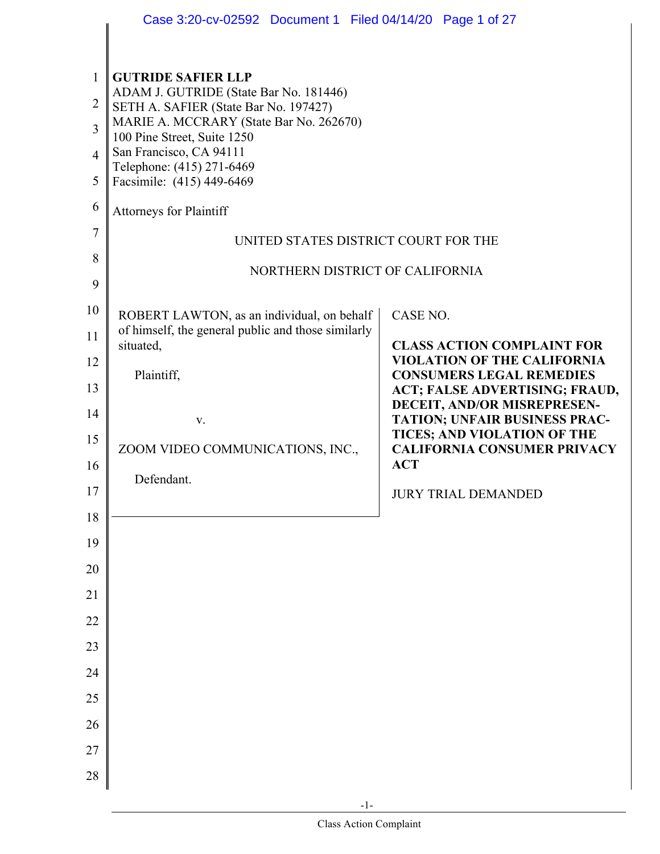|                                                                                              | Case 3:20-cv-02592 Document 1 Filed 04/14/20 Page 1 of 27                                                                                                                                                                                                                                                                                                                                |                                                                                                                                                                                                                                                                                                                                                  |
|----------------------------------------------------------------------------------------------|------------------------------------------------------------------------------------------------------------------------------------------------------------------------------------------------------------------------------------------------------------------------------------------------------------------------------------------------------------------------------------------|--------------------------------------------------------------------------------------------------------------------------------------------------------------------------------------------------------------------------------------------------------------------------------------------------------------------------------------------------|
| 1<br>$\overline{2}$<br>3<br>$\overline{4}$<br>5<br>6<br>$\tau$<br>8<br>9                     | <b>GUTRIDE SAFIER LLP</b><br>ADAM J. GUTRIDE (State Bar No. 181446)<br>SETH A. SAFIER (State Bar No. 197427)<br>MARIE A. MCCRARY (State Bar No. 262670)<br>100 Pine Street, Suite 1250<br>San Francisco, CA 94111<br>Telephone: (415) 271-6469<br>Facsimile: (415) 449-6469<br><b>Attorneys for Plaintiff</b><br>UNITED STATES DISTRICT COURT FOR THE<br>NORTHERN DISTRICT OF CALIFORNIA |                                                                                                                                                                                                                                                                                                                                                  |
| 10<br>11<br>12<br>13<br>14<br>15<br>16<br>17<br>18<br>19<br>20<br>21<br>22<br>23<br>24<br>25 | ROBERT LAWTON, as an individual, on behalf<br>of himself, the general public and those similarly<br>situated,<br>Plaintiff,<br>V.<br>ZOOM VIDEO COMMUNICATIONS, INC.,<br>Defendant.                                                                                                                                                                                                      | CASE NO.<br><b>CLASS ACTION COMPLAINT FOR</b><br><b>VIOLATION OF THE CALIFORNIA</b><br><b>CONSUMERS LEGAL REMEDIES</b><br>ACT; FALSE ADVERTISING; FRAUD,<br>DECEIT, AND/OR MISREPRESEN-<br><b>TATION; UNFAIR BUSINESS PRAC-</b><br>TICES; AND VIOLATION OF THE<br><b>CALIFORNIA CONSUMER PRIVACY</b><br><b>ACT</b><br><b>JURY TRIAL DEMANDED</b> |
| 26<br>27<br>28                                                                               |                                                                                                                                                                                                                                                                                                                                                                                          |                                                                                                                                                                                                                                                                                                                                                  |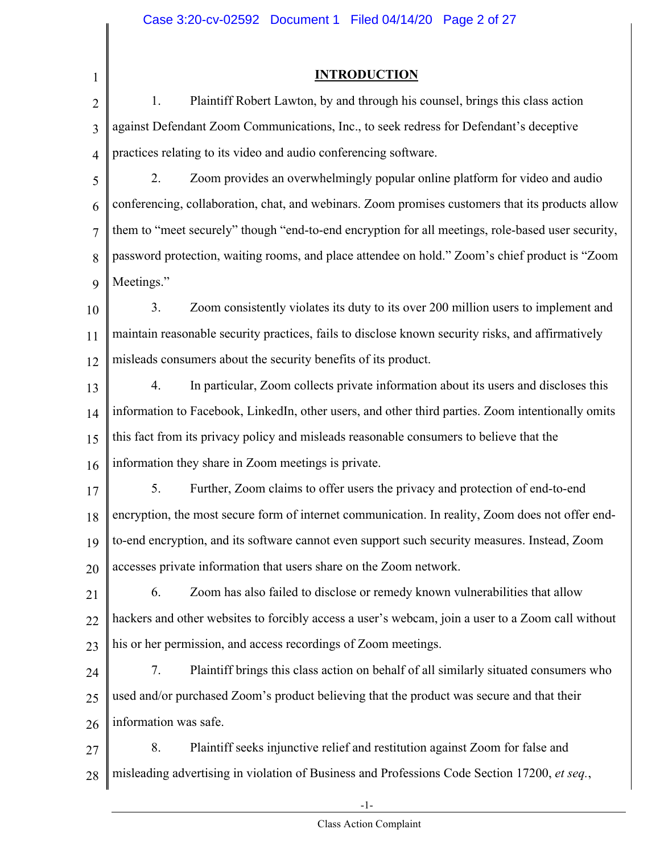1

#### **INTRODUCTION**

2 3 4 1. Plaintiff Robert Lawton, by and through his counsel, brings this class action against Defendant Zoom Communications, Inc., to seek redress for Defendant's deceptive practices relating to its video and audio conferencing software.

5 6 7 8 9 2. Zoom provides an overwhelmingly popular online platform for video and audio conferencing, collaboration, chat, and webinars. Zoom promises customers that its products allow them to "meet securely" though "end-to-end encryption for all meetings, role-based user security, password protection, waiting rooms, and place attendee on hold." Zoom's chief product is "Zoom Meetings."

10 11 12 3. Zoom consistently violates its duty to its over 200 million users to implement and maintain reasonable security practices, fails to disclose known security risks, and affirmatively misleads consumers about the security benefits of its product.

13 14 15 16 4. In particular, Zoom collects private information about its users and discloses this information to Facebook, LinkedIn, other users, and other third parties. Zoom intentionally omits this fact from its privacy policy and misleads reasonable consumers to believe that the information they share in Zoom meetings is private.

17 18 19 20 5. Further, Zoom claims to offer users the privacy and protection of end-to-end encryption, the most secure form of internet communication. In reality, Zoom does not offer endto-end encryption, and its software cannot even support such security measures. Instead, Zoom accesses private information that users share on the Zoom network.

21 22 23 6. Zoom has also failed to disclose or remedy known vulnerabilities that allow hackers and other websites to forcibly access a user's webcam, join a user to a Zoom call without his or her permission, and access recordings of Zoom meetings.

24 25 26 7. Plaintiff brings this class action on behalf of all similarly situated consumers who used and/or purchased Zoom's product believing that the product was secure and that their information was safe.

27 28 8. Plaintiff seeks injunctive relief and restitution against Zoom for false and misleading advertising in violation of Business and Professions Code Section 17200, *et seq.*,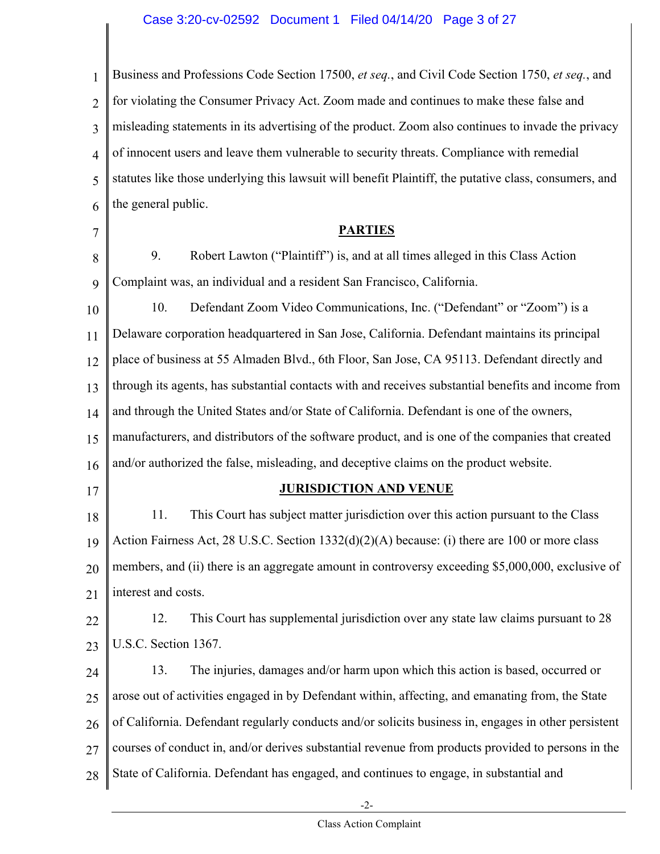1 2 3 4 5 6 7 8 9 10 11 12 13 14 15 16 17 18 Business and Professions Code Section 17500, *et seq.*, and Civil Code Section 1750, *et seq.*, and for violating the Consumer Privacy Act. Zoom made and continues to make these false and misleading statements in its advertising of the product. Zoom also continues to invade the privacy of innocent users and leave them vulnerable to security threats. Compliance with remedial statutes like those underlying this lawsuit will benefit Plaintiff, the putative class, consumers, and the general public. **PARTIES**  9. Robert Lawton ("Plaintiff") is, and at all times alleged in this Class Action Complaint was, an individual and a resident San Francisco, California. 10. Defendant Zoom Video Communications, Inc. ("Defendant" or "Zoom") is a Delaware corporation headquartered in San Jose, California. Defendant maintains its principal place of business at 55 Almaden Blvd., 6th Floor, San Jose, CA 95113. Defendant directly and through its agents, has substantial contacts with and receives substantial benefits and income from and through the United States and/or State of California. Defendant is one of the owners, manufacturers, and distributors of the software product, and is one of the companies that created and/or authorized the false, misleading, and deceptive claims on the product website. **JURISDICTION AND VENUE** 11. This Court has subject matter jurisdiction over this action pursuant to the Class

19 20 21 Action Fairness Act, 28 U.S.C. Section 1332(d)(2)(A) because: (i) there are 100 or more class members, and (ii) there is an aggregate amount in controversy exceeding \$5,000,000, exclusive of interest and costs.

22 23 12. This Court has supplemental jurisdiction over any state law claims pursuant to 28 U.S.C. Section 1367.

24 25 26 27 28 13. The injuries, damages and/or harm upon which this action is based, occurred or arose out of activities engaged in by Defendant within, affecting, and emanating from, the State of California. Defendant regularly conducts and/or solicits business in, engages in other persistent courses of conduct in, and/or derives substantial revenue from products provided to persons in the State of California. Defendant has engaged, and continues to engage, in substantial and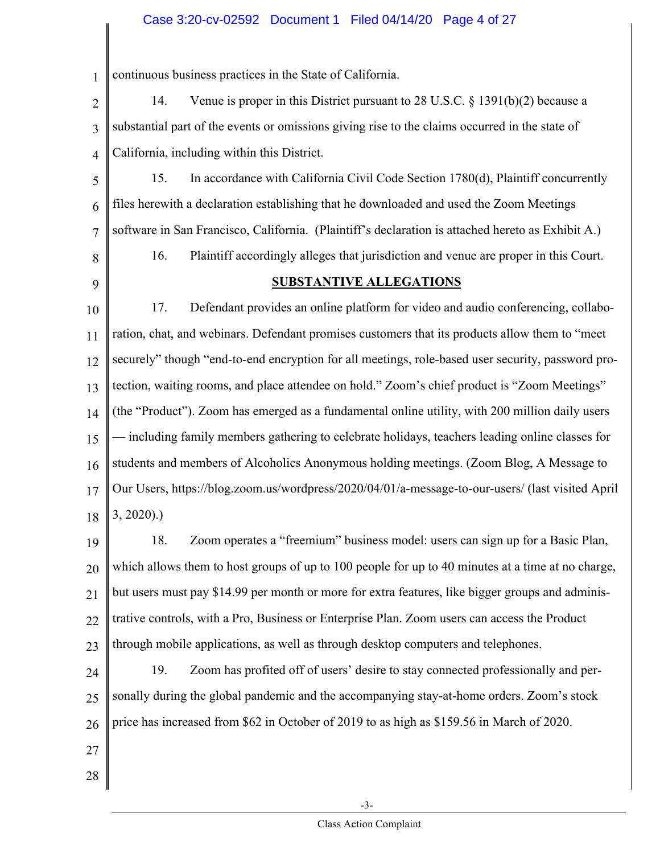#### Case 3:20-cv-02592 Document 1 Filed 04/14/20 Page 4 of 27

1 continuous business practices in the State of California.

2 3 4 14. Venue is proper in this District pursuant to 28 U.S.C. § 1391(b)(2) because a substantial part of the events or omissions giving rise to the claims occurred in the state of California, including within this District.

5 6 7 15. In accordance with California Civil Code Section 1780(d), Plaintiff concurrently files herewith a declaration establishing that he downloaded and used the Zoom Meetings software in San Francisco, California. (Plaintiff's declaration is attached hereto as Exhibit A.)

- 8
- 9

#### **SUBSTANTIVE ALLEGATIONS**

16. Plaintiff accordingly alleges that jurisdiction and venue are proper in this Court.

10 11 12 13 14 15 16 17 18 17. Defendant provides an online platform for video and audio conferencing, collaboration, chat, and webinars. Defendant promises customers that its products allow them to "meet securely" though "end-to-end encryption for all meetings, role-based user security, password protection, waiting rooms, and place attendee on hold." Zoom's chief product is "Zoom Meetings" (the "Product"). Zoom has emerged as a fundamental online utility, with 200 million daily users — including family members gathering to celebrate holidays, teachers leading online classes for students and members of Alcoholics Anonymous holding meetings. (Zoom Blog, A Message to Our Users, https://blog.zoom.us/wordpress/2020/04/01/a-message-to-our-users/ (last visited April 3, 2020).)

19 20 21 22 23 18. Zoom operates a "freemium" business model: users can sign up for a Basic Plan, which allows them to host groups of up to 100 people for up to 40 minutes at a time at no charge, but users must pay \$14.99 per month or more for extra features, like bigger groups and administrative controls, with a Pro, Business or Enterprise Plan. Zoom users can access the Product through mobile applications, as well as through desktop computers and telephones.

24 25 26 19. Zoom has profited off of users' desire to stay connected professionally and personally during the global pandemic and the accompanying stay-at-home orders. Zoom's stock price has increased from \$62 in October of 2019 to as high as \$159.56 in March of 2020.

- 27
- 28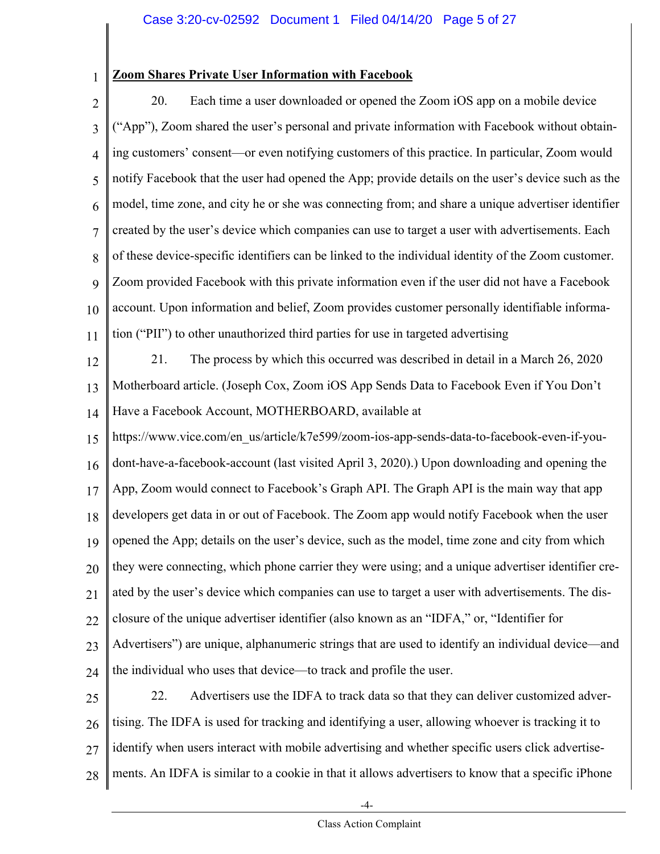#### **Zoom Shares Private User Information with Facebook**

1

- 2 3 4 5 6 7 8 9 10 11 20. Each time a user downloaded or opened the Zoom iOS app on a mobile device ("App"), Zoom shared the user's personal and private information with Facebook without obtaining customers' consent—or even notifying customers of this practice. In particular, Zoom would notify Facebook that the user had opened the App; provide details on the user's device such as the model, time zone, and city he or she was connecting from; and share a unique advertiser identifier created by the user's device which companies can use to target a user with advertisements. Each of these device-specific identifiers can be linked to the individual identity of the Zoom customer. Zoom provided Facebook with this private information even if the user did not have a Facebook account. Upon information and belief, Zoom provides customer personally identifiable information ("PII") to other unauthorized third parties for use in targeted advertising
- 12 13 14 21. The process by which this occurred was described in detail in a March 26, 2020 Motherboard article. (Joseph Cox, Zoom iOS App Sends Data to Facebook Even if You Don't Have a Facebook Account, MOTHERBOARD, available at
- 15 16 17 18 19 20 21 22 23 24 https://www.vice.com/en\_us/article/k7e599/zoom-ios-app-sends-data-to-facebook-even-if-youdont-have-a-facebook-account (last visited April 3, 2020).) Upon downloading and opening the App, Zoom would connect to Facebook's Graph API. The Graph API is the main way that app developers get data in or out of Facebook. The Zoom app would notify Facebook when the user opened the App; details on the user's device, such as the model, time zone and city from which they were connecting, which phone carrier they were using; and a unique advertiser identifier created by the user's device which companies can use to target a user with advertisements. The disclosure of the unique advertiser identifier (also known as an "IDFA," or, "Identifier for Advertisers") are unique, alphanumeric strings that are used to identify an individual device—and the individual who uses that device—to track and profile the user.
- 25 26 27 28 22. Advertisers use the IDFA to track data so that they can deliver customized advertising. The IDFA is used for tracking and identifying a user, allowing whoever is tracking it to identify when users interact with mobile advertising and whether specific users click advertisements. An IDFA is similar to a cookie in that it allows advertisers to know that a specific iPhone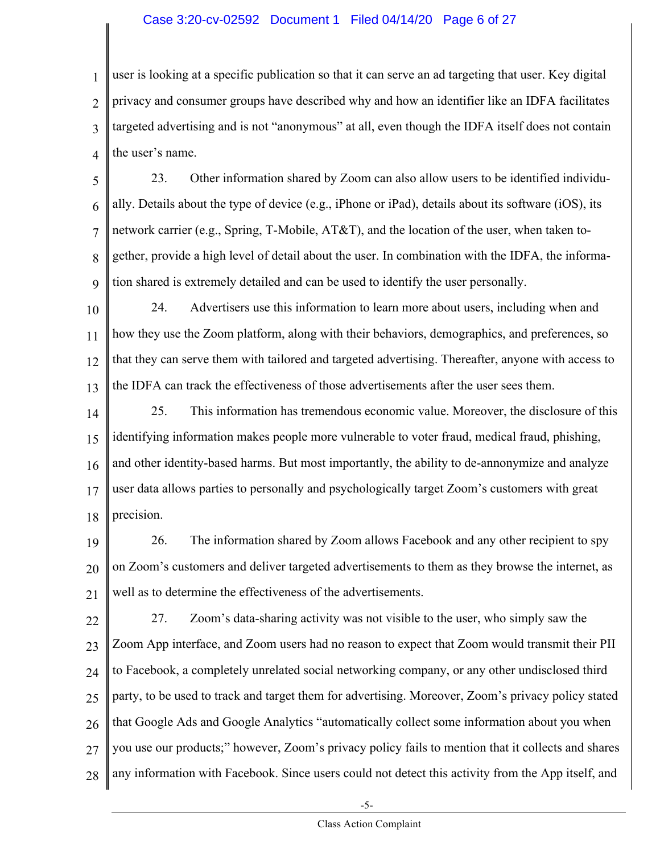#### Case 3:20-cv-02592 Document 1 Filed 04/14/20 Page 6 of 27

1 2 3 4 user is looking at a specific publication so that it can serve an ad targeting that user. Key digital privacy and consumer groups have described why and how an identifier like an IDFA facilitates targeted advertising and is not "anonymous" at all, even though the IDFA itself does not contain the user's name.

5 6 7 8 9 23. Other information shared by Zoom can also allow users to be identified individually. Details about the type of device (e.g., iPhone or iPad), details about its software (iOS), its network carrier (e.g., Spring, T-Mobile, AT&T), and the location of the user, when taken together, provide a high level of detail about the user. In combination with the IDFA, the information shared is extremely detailed and can be used to identify the user personally.

10 11 12 13 24. Advertisers use this information to learn more about users, including when and how they use the Zoom platform, along with their behaviors, demographics, and preferences, so that they can serve them with tailored and targeted advertising. Thereafter, anyone with access to the IDFA can track the effectiveness of those advertisements after the user sees them.

14 15 16 17 18 25. This information has tremendous economic value. Moreover, the disclosure of this identifying information makes people more vulnerable to voter fraud, medical fraud, phishing, and other identity-based harms. But most importantly, the ability to de-annonymize and analyze user data allows parties to personally and psychologically target Zoom's customers with great precision.

19 20 21 26. The information shared by Zoom allows Facebook and any other recipient to spy on Zoom's customers and deliver targeted advertisements to them as they browse the internet, as well as to determine the effectiveness of the advertisements.

22 23 24 25 26 27 28 27. Zoom's data-sharing activity was not visible to the user, who simply saw the Zoom App interface, and Zoom users had no reason to expect that Zoom would transmit their PII to Facebook, a completely unrelated social networking company, or any other undisclosed third party, to be used to track and target them for advertising. Moreover, Zoom's privacy policy stated that Google Ads and Google Analytics "automatically collect some information about you when you use our products;" however, Zoom's privacy policy fails to mention that it collects and shares any information with Facebook. Since users could not detect this activity from the App itself, and

-5-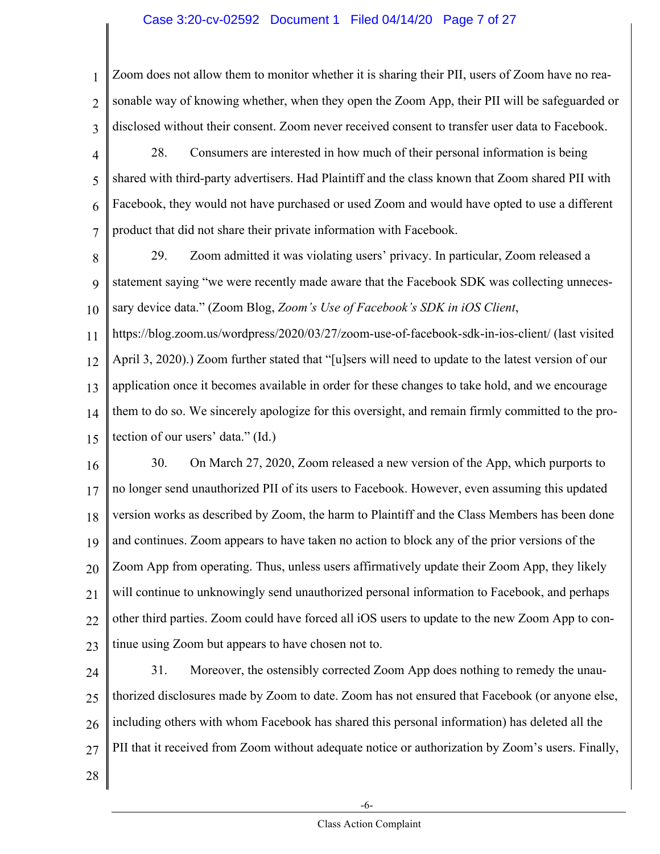#### Case 3:20-cv-02592 Document 1 Filed 04/14/20 Page 7 of 27

1 2 3 Zoom does not allow them to monitor whether it is sharing their PII, users of Zoom have no reasonable way of knowing whether, when they open the Zoom App, their PII will be safeguarded or disclosed without their consent. Zoom never received consent to transfer user data to Facebook.

- 4 5 6 7 28. Consumers are interested in how much of their personal information is being shared with third-party advertisers. Had Plaintiff and the class known that Zoom shared PII with Facebook, they would not have purchased or used Zoom and would have opted to use a different product that did not share their private information with Facebook.
- 8 9 10 29. Zoom admitted it was violating users' privacy. In particular, Zoom released a statement saying "we were recently made aware that the Facebook SDK was collecting unnecessary device data." (Zoom Blog, *Zoom's Use of Facebook's SDK in iOS Client*,

11 12 13 14 15 https://blog.zoom.us/wordpress/2020/03/27/zoom-use-of-facebook-sdk-in-ios-client/ (last visited April 3, 2020).) Zoom further stated that "[u]sers will need to update to the latest version of our application once it becomes available in order for these changes to take hold, and we encourage them to do so. We sincerely apologize for this oversight, and remain firmly committed to the protection of our users' data." (Id.)

16 17 18 19 20 21 22 23 30. On March 27, 2020, Zoom released a new version of the App, which purports to no longer send unauthorized PII of its users to Facebook. However, even assuming this updated version works as described by Zoom, the harm to Plaintiff and the Class Members has been done and continues. Zoom appears to have taken no action to block any of the prior versions of the Zoom App from operating. Thus, unless users affirmatively update their Zoom App, they likely will continue to unknowingly send unauthorized personal information to Facebook, and perhaps other third parties. Zoom could have forced all iOS users to update to the new Zoom App to continue using Zoom but appears to have chosen not to.

24 25 26 27 31. Moreover, the ostensibly corrected Zoom App does nothing to remedy the unauthorized disclosures made by Zoom to date. Zoom has not ensured that Facebook (or anyone else, including others with whom Facebook has shared this personal information) has deleted all the PII that it received from Zoom without adequate notice or authorization by Zoom's users. Finally,

28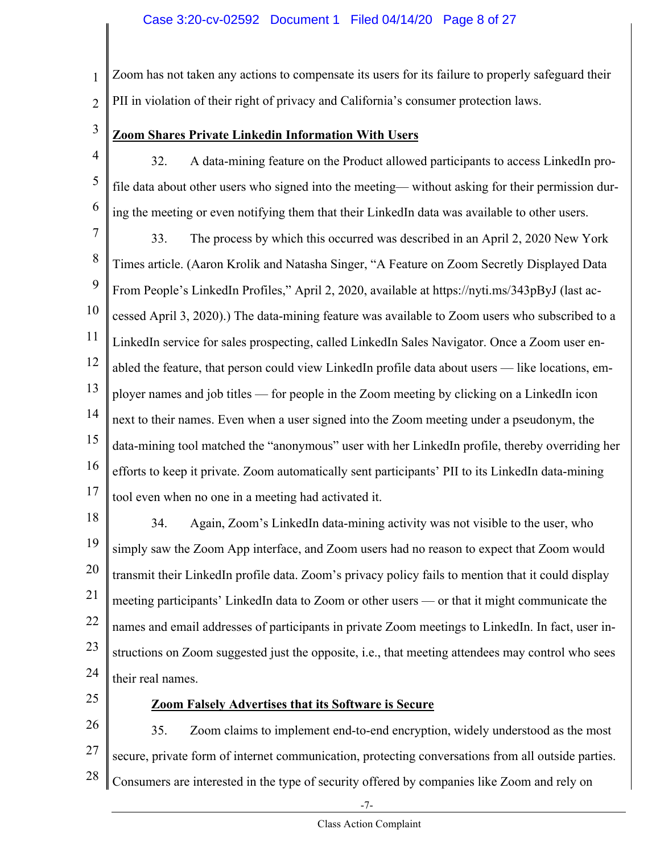1 2 Zoom has not taken any actions to compensate its users for its failure to properly safeguard their PII in violation of their right of privacy and California's consumer protection laws.

3

#### **Zoom Shares Private Linkedin Information With Users**

- 4 5 6 32. A data-mining feature on the Product allowed participants to access LinkedIn profile data about other users who signed into the meeting— without asking for their permission during the meeting or even notifying them that their LinkedIn data was available to other users.
- 7 8 9 10 11 12 13 14 15 16 17 33. The process by which this occurred was described in an April 2, 2020 New York Times article. (Aaron Krolik and Natasha Singer, "A Feature on Zoom Secretly Displayed Data From People's LinkedIn Profiles," April 2, 2020, available at https://nyti.ms/343pByJ (last accessed April 3, 2020).) The data-mining feature was available to Zoom users who subscribed to a LinkedIn service for sales prospecting, called LinkedIn Sales Navigator. Once a Zoom user enabled the feature, that person could view LinkedIn profile data about users — like locations, employer names and job titles — for people in the Zoom meeting by clicking on a LinkedIn icon next to their names. Even when a user signed into the Zoom meeting under a pseudonym, the data-mining tool matched the "anonymous" user with her LinkedIn profile, thereby overriding her efforts to keep it private. Zoom automatically sent participants' PII to its LinkedIn data-mining tool even when no one in a meeting had activated it.
- 18 19 20 21 22 23 24 34. Again, Zoom's LinkedIn data-mining activity was not visible to the user, who simply saw the Zoom App interface, and Zoom users had no reason to expect that Zoom would transmit their LinkedIn profile data. Zoom's privacy policy fails to mention that it could display meeting participants' LinkedIn data to Zoom or other users — or that it might communicate the names and email addresses of participants in private Zoom meetings to LinkedIn. In fact, user instructions on Zoom suggested just the opposite, i.e., that meeting attendees may control who sees their real names.
- 25

#### **Zoom Falsely Advertises that its Software is Secure**

26 27 28 35. Zoom claims to implement end-to-end encryption, widely understood as the most secure, private form of internet communication, protecting conversations from all outside parties. Consumers are interested in the type of security offered by companies like Zoom and rely on

-7-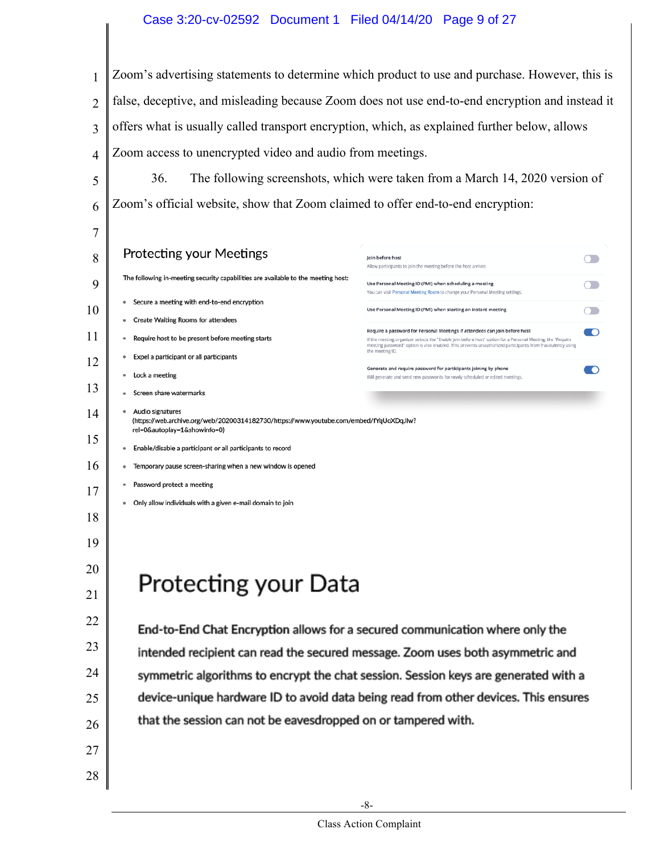#### Case 3:20-cv-02592 Document 1 Filed 04/14/20 Page 9 of 27

 Zoom's advertising statements to determine which product to use and purchase. However, this is false, deceptive, and misleading because Zoom does not use end-to-end encryption and instead it offers what is usually called transport encryption, which, as explained further below, allows Zoom access to unencrypted video and audio from meetings.

 36. The following screenshots, which were taken from a March 14, 2020 version of Zoom's official website, show that Zoom claimed to offer end-to-end encryption:

| 7  |                                                                                                                                            |                                                                                                                                                                                                                                            |  |
|----|--------------------------------------------------------------------------------------------------------------------------------------------|--------------------------------------------------------------------------------------------------------------------------------------------------------------------------------------------------------------------------------------------|--|
| 8  | <b>Protecting your Meetings</b>                                                                                                            | Ioin before host<br>Allow participants to join the meeting before the host arrives                                                                                                                                                         |  |
| 9  | The following in-meeting security capabilities are available to the meeting host:                                                          | Use Personal Meeting ID (PMI) when scheduling a meeting<br>You can visit Personal Meeting Room to change your Personal Meeting settings.                                                                                                   |  |
| 10 | Secure a meeting with end-to-end encryption                                                                                                | Use Personal Meeting ID (PMI) when starting an instant meeting                                                                                                                                                                             |  |
|    | <b>Create Waiting Rooms for attendees</b>                                                                                                  | Require a password for Personal Meetings if attendees can join before host<br>O                                                                                                                                                            |  |
| 11 | Require host to be present before meeting starts<br>$\bullet$                                                                              | If the meeting organizer selects the "Enable join before host" option for a Personal Meeting, the "Require<br>meeting password" option is also enabled. This prevents unauthorized participants from fraudulently using<br>the meeting ID. |  |
| 12 | Expel a participant or all participants                                                                                                    |                                                                                                                                                                                                                                            |  |
|    | Lock a meeting                                                                                                                             | Generate and require password for participants joining by phone<br>O<br>Will generate and send new passwords for newly scheduled or edited meetings.                                                                                       |  |
| 13 | Screen share watermarks                                                                                                                    |                                                                                                                                                                                                                                            |  |
| 14 | Audio signatures<br>(https://web.archive.org/web/20200314182730/https://www.youtube.com/embed/fYqUoXDqJlw?<br>rel=0&autoplay=1&showinfo=0) |                                                                                                                                                                                                                                            |  |
| 15 | Enable/disable a participant or all participants to record                                                                                 |                                                                                                                                                                                                                                            |  |
| 16 | Temporary pause screen-sharing when a new window is opened                                                                                 |                                                                                                                                                                                                                                            |  |
| 17 | Password protect a meeting                                                                                                                 |                                                                                                                                                                                                                                            |  |
|    | Only allow individuals with a given e-mail domain to join                                                                                  |                                                                                                                                                                                                                                            |  |
| 18 |                                                                                                                                            |                                                                                                                                                                                                                                            |  |
| 19 |                                                                                                                                            |                                                                                                                                                                                                                                            |  |
| 20 |                                                                                                                                            |                                                                                                                                                                                                                                            |  |
| 21 | Protecting your Data                                                                                                                       |                                                                                                                                                                                                                                            |  |
| 22 | End-to-End Chat Encryption allows for a secured communication where only the                                                               |                                                                                                                                                                                                                                            |  |
| 23 |                                                                                                                                            | intended recipient can read the secured message. Zoom uses both asymmetric and                                                                                                                                                             |  |
|    |                                                                                                                                            |                                                                                                                                                                                                                                            |  |
| 24 |                                                                                                                                            | symmetric algorithms to encrypt the chat session. Session keys are generated with a                                                                                                                                                        |  |
| 25 |                                                                                                                                            | device-unique hardware ID to avoid data being read from other devices. This ensures                                                                                                                                                        |  |
| 26 | that the session can not be eavesdropped on or tampered with.                                                                              |                                                                                                                                                                                                                                            |  |
| 27 |                                                                                                                                            |                                                                                                                                                                                                                                            |  |
| 28 |                                                                                                                                            |                                                                                                                                                                                                                                            |  |
|    |                                                                                                                                            |                                                                                                                                                                                                                                            |  |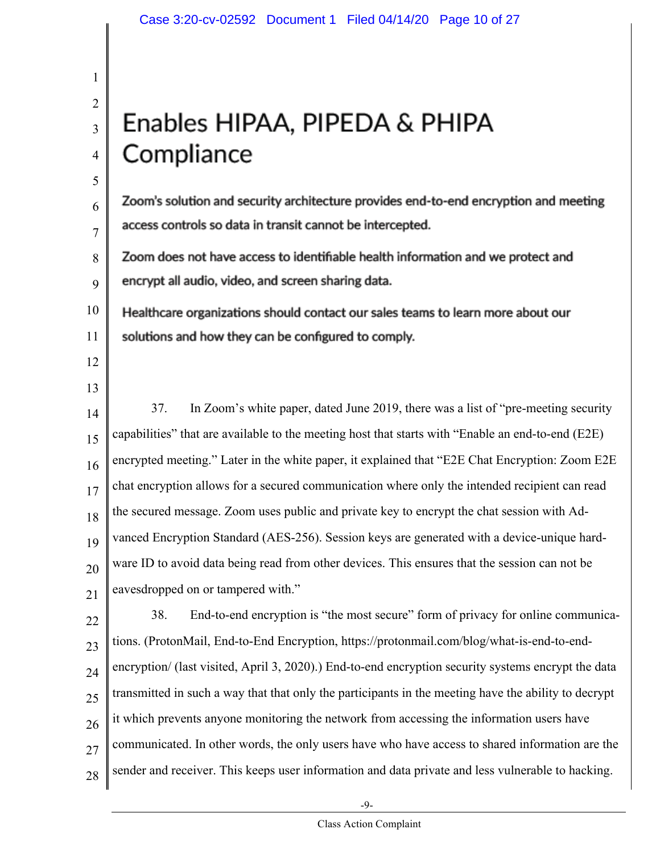# Enables HIPAA, PIPEDA & PHIPA Compliance

Zoom's solution and security architecture provides end-to-end encryption and meeting access controls so data in transit cannot be intercepted.

Zoom does not have access to identifiable health information and we protect and 8 encrypt all audio, video, and screen sharing data. 9

10 Healthcare organizations should contact our sales teams to learn more about our 11 solutions and how they can be configured to comply.

12

1

2

3

4

5

6

7

13

14 15 16 17 18 19 20 21 37. In Zoom's white paper, dated June 2019, there was a list of "pre-meeting security capabilities" that are available to the meeting host that starts with "Enable an end-to-end (E2E) encrypted meeting." Later in the white paper, it explained that "E2E Chat Encryption: Zoom E2E chat encryption allows for a secured communication where only the intended recipient can read the secured message. Zoom uses public and private key to encrypt the chat session with Advanced Encryption Standard (AES-256). Session keys are generated with a device-unique hardware ID to avoid data being read from other devices. This ensures that the session can not be eavesdropped on or tampered with."

22 23 24 25 26 27 28 38. End-to-end encryption is "the most secure" form of privacy for online communications. (ProtonMail, End-to-End Encryption, https://protonmail.com/blog/what-is-end-to-endencryption/ (last visited, April 3, 2020).) End-to-end encryption security systems encrypt the data transmitted in such a way that that only the participants in the meeting have the ability to decrypt it which prevents anyone monitoring the network from accessing the information users have communicated. In other words, the only users have who have access to shared information are the sender and receiver. This keeps user information and data private and less vulnerable to hacking.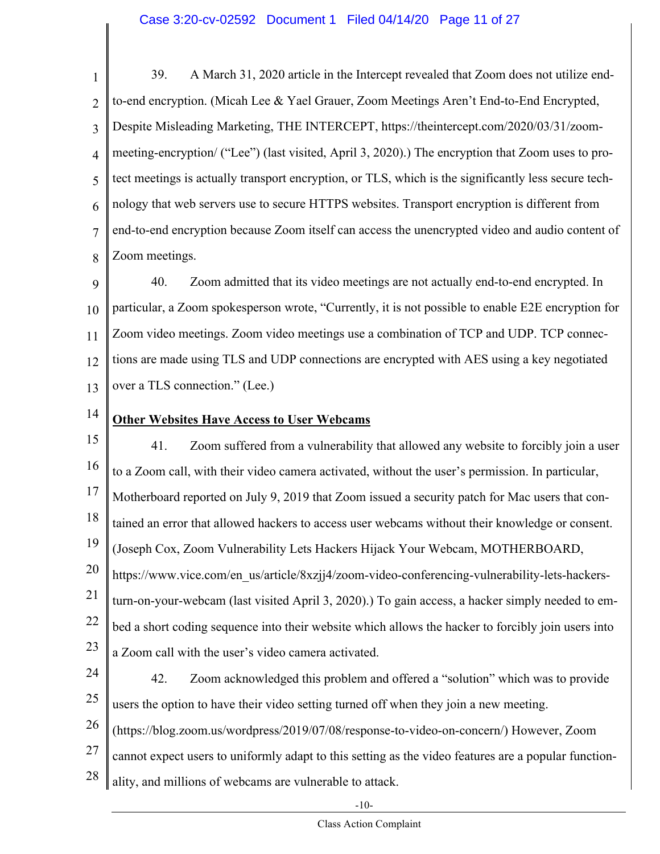#### Case 3:20-cv-02592 Document 1 Filed 04/14/20 Page 11 of 27

1 2 3 4 5 6 7 8 39. A March 31, 2020 article in the Intercept revealed that Zoom does not utilize endto-end encryption. (Micah Lee & Yael Grauer, Zoom Meetings Aren't End-to-End Encrypted, Despite Misleading Marketing, THE INTERCEPT, https://theintercept.com/2020/03/31/zoommeeting-encryption/ ("Lee") (last visited, April 3, 2020).) The encryption that Zoom uses to protect meetings is actually transport encryption, or TLS, which is the significantly less secure technology that web servers use to secure HTTPS websites. Transport encryption is different from end-to-end encryption because Zoom itself can access the unencrypted video and audio content of Zoom meetings.

9 10 11 12 13 40. Zoom admitted that its video meetings are not actually end-to-end encrypted. In particular, a Zoom spokesperson wrote, "Currently, it is not possible to enable E2E encryption for Zoom video meetings. Zoom video meetings use a combination of TCP and UDP. TCP connections are made using TLS and UDP connections are encrypted with AES using a key negotiated over a TLS connection." (Lee.)

14

#### **Other Websites Have Access to User Webcams**

15 16 17 18 19 20 21 22 23 41. Zoom suffered from a vulnerability that allowed any website to forcibly join a user to a Zoom call, with their video camera activated, without the user's permission. In particular, Motherboard reported on July 9, 2019 that Zoom issued a security patch for Mac users that contained an error that allowed hackers to access user webcams without their knowledge or consent. (Joseph Cox, Zoom Vulnerability Lets Hackers Hijack Your Webcam, MOTHERBOARD, https://www.vice.com/en\_us/article/8xzjj4/zoom-video-conferencing-vulnerability-lets-hackersturn-on-your-webcam (last visited April 3, 2020).) To gain access, a hacker simply needed to embed a short coding sequence into their website which allows the hacker to forcibly join users into a Zoom call with the user's video camera activated.

- 24 25 26 27 42. Zoom acknowledged this problem and offered a "solution" which was to provide users the option to have their video setting turned off when they join a new meeting. (https://blog.zoom.us/wordpress/2019/07/08/response-to-video-on-concern/) However, Zoom cannot expect users to uniformly adapt to this setting as the video features are a popular function-
- 28 ality, and millions of webcams are vulnerable to attack.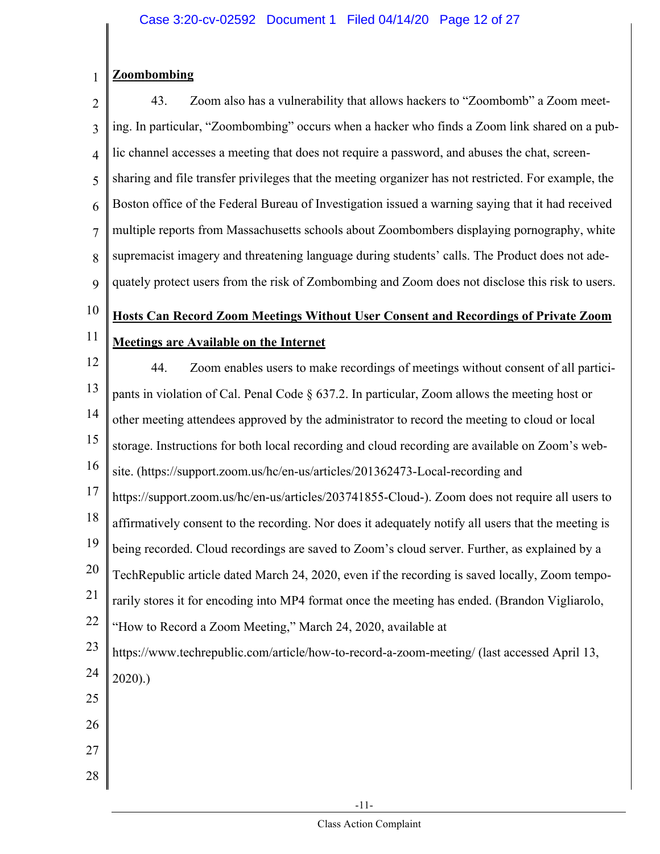#### 1 **Zoombombing**

2 3 4 5 6 7 8 9 43. Zoom also has a vulnerability that allows hackers to "Zoombomb" a Zoom meeting. In particular, "Zoombombing" occurs when a hacker who finds a Zoom link shared on a public channel accesses a meeting that does not require a password, and abuses the chat, screensharing and file transfer privileges that the meeting organizer has not restricted. For example, the Boston office of the Federal Bureau of Investigation issued a warning saying that it had received multiple reports from Massachusetts schools about Zoombombers displaying pornography, white supremacist imagery and threatening language during students' calls. The Product does not adequately protect users from the risk of Zombombing and Zoom does not disclose this risk to users.

#### 10 11 **Hosts Can Record Zoom Meetings Without User Consent and Recordings of Private Zoom Meetings are Available on the Internet**

- 12 13 14 15 16 44. Zoom enables users to make recordings of meetings without consent of all participants in violation of Cal. Penal Code § 637.2. In particular, Zoom allows the meeting host or other meeting attendees approved by the administrator to record the meeting to cloud or local storage. Instructions for both local recording and cloud recording are available on Zoom's website. (https://support.zoom.us/hc/en-us/articles/201362473-Local-recording and
- 17 18 19 https://support.zoom.us/hc/en-us/articles/203741855-Cloud-). Zoom does not require all users to affirmatively consent to the recording. Nor does it adequately notify all users that the meeting is
- being recorded. Cloud recordings are saved to Zoom's cloud server. Further, as explained by a
- 20 TechRepublic article dated March 24, 2020, even if the recording is saved locally, Zoom tempo-
- 21 rarily stores it for encoding into MP4 format once the meeting has ended. (Brandon Vigliarolo,
- 22 "How to Record a Zoom Meeting," March 24, 2020, available at
- 23 24 https://www.techrepublic.com/article/how-to-record-a-zoom-meeting/ (last accessed April 13, 2020).)
- 25
- 26
- 27
- 28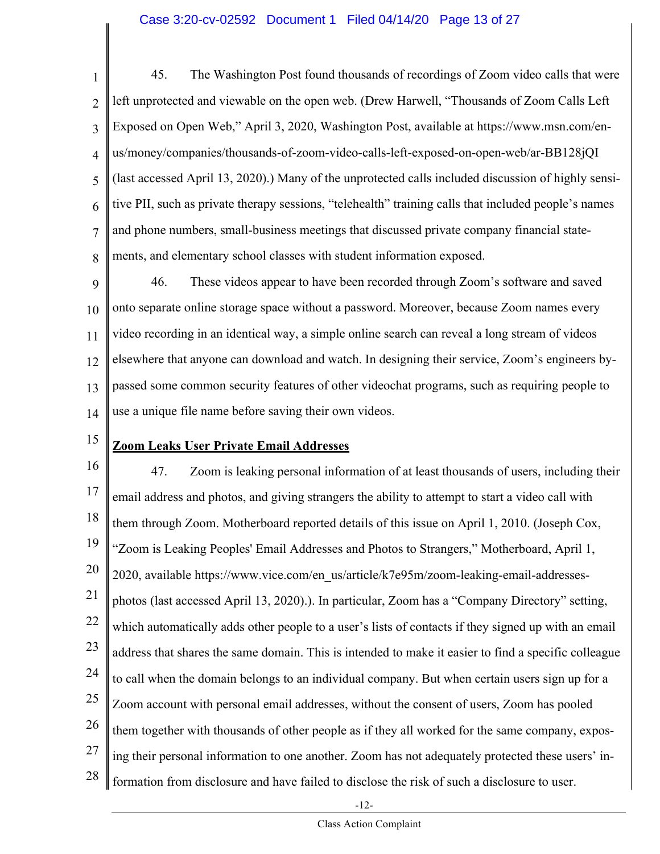#### Case 3:20-cv-02592 Document 1 Filed 04/14/20 Page 13 of 27

1 2 3 4 5 6 7 8 45. The Washington Post found thousands of recordings of Zoom video calls that were left unprotected and viewable on the open web. (Drew Harwell, "Thousands of Zoom Calls Left Exposed on Open Web," April 3, 2020, Washington Post, available at https://www.msn.com/enus/money/companies/thousands-of-zoom-video-calls-left-exposed-on-open-web/ar-BB128jQI (last accessed April 13, 2020).) Many of the unprotected calls included discussion of highly sensitive PII, such as private therapy sessions, "telehealth" training calls that included people's names and phone numbers, small-business meetings that discussed private company financial statements, and elementary school classes with student information exposed.

9 10 11 12 13 14 46. These videos appear to have been recorded through Zoom's software and saved onto separate online storage space without a password. Moreover, because Zoom names every video recording in an identical way, a simple online search can reveal a long stream of videos elsewhere that anyone can download and watch. In designing their service, Zoom's engineers bypassed some common security features of other videochat programs, such as requiring people to use a unique file name before saving their own videos.

### 15

#### **Zoom Leaks User Private Email Addresses**

16 17 18 19 20 21 22 23 24 25 26 27 28 47. Zoom is leaking personal information of at least thousands of users, including their email address and photos, and giving strangers the ability to attempt to start a video call with them through Zoom. Motherboard reported details of this issue on April 1, 2010. (Joseph Cox, "Zoom is Leaking Peoples' Email Addresses and Photos to Strangers," Motherboard, April 1, 2020, available https://www.vice.com/en\_us/article/k7e95m/zoom-leaking-email-addressesphotos (last accessed April 13, 2020).). In particular, Zoom has a "Company Directory" setting, which automatically adds other people to a user's lists of contacts if they signed up with an email address that shares the same domain. This is intended to make it easier to find a specific colleague to call when the domain belongs to an individual company. But when certain users sign up for a Zoom account with personal email addresses, without the consent of users, Zoom has pooled them together with thousands of other people as if they all worked for the same company, exposing their personal information to one another. Zoom has not adequately protected these users' information from disclosure and have failed to disclose the risk of such a disclosure to user.

-12-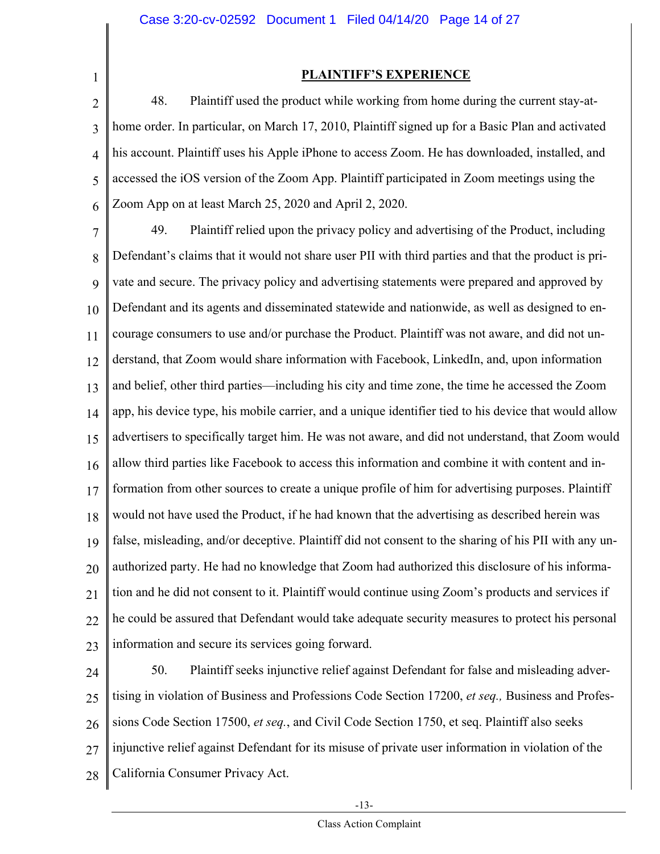1

#### **PLAINTIFF'S EXPERIENCE**

2 3 4 5 6 48. Plaintiff used the product while working from home during the current stay-athome order. In particular, on March 17, 2010, Plaintiff signed up for a Basic Plan and activated his account. Plaintiff uses his Apple iPhone to access Zoom. He has downloaded, installed, and accessed the iOS version of the Zoom App. Plaintiff participated in Zoom meetings using the Zoom App on at least March 25, 2020 and April 2, 2020.

7 8 9 10 11 12 13 14 15 16 17 18 19 20 21 22 23 49. Plaintiff relied upon the privacy policy and advertising of the Product, including Defendant's claims that it would not share user PII with third parties and that the product is private and secure. The privacy policy and advertising statements were prepared and approved by Defendant and its agents and disseminated statewide and nationwide, as well as designed to encourage consumers to use and/or purchase the Product. Plaintiff was not aware, and did not understand, that Zoom would share information with Facebook, LinkedIn, and, upon information and belief, other third parties—including his city and time zone, the time he accessed the Zoom app, his device type, his mobile carrier, and a unique identifier tied to his device that would allow advertisers to specifically target him. He was not aware, and did not understand, that Zoom would allow third parties like Facebook to access this information and combine it with content and information from other sources to create a unique profile of him for advertising purposes. Plaintiff would not have used the Product, if he had known that the advertising as described herein was false, misleading, and/or deceptive. Plaintiff did not consent to the sharing of his PII with any unauthorized party. He had no knowledge that Zoom had authorized this disclosure of his information and he did not consent to it. Plaintiff would continue using Zoom's products and services if he could be assured that Defendant would take adequate security measures to protect his personal information and secure its services going forward.

24 25 26 27 28 50. Plaintiff seeks injunctive relief against Defendant for false and misleading advertising in violation of Business and Professions Code Section 17200, *et seq.,* Business and Professions Code Section 17500, *et seq.*, and Civil Code Section 1750, et seq. Plaintiff also seeks injunctive relief against Defendant for its misuse of private user information in violation of the California Consumer Privacy Act.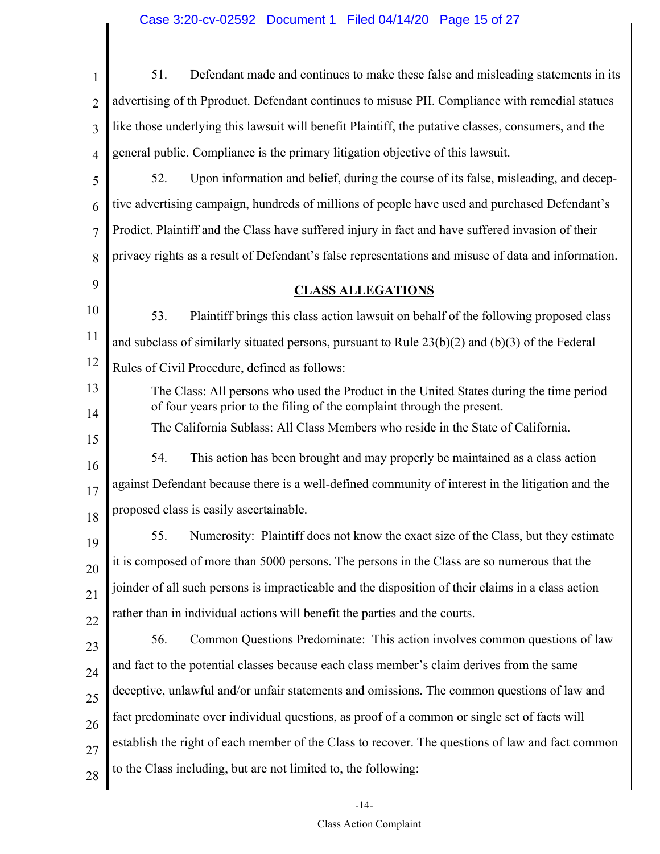# Case 3:20-cv-02592 Document 1 Filed 04/14/20 Page 15 of 27

 $\mathsf I$ 

| $\mathbf{1}$   | 51.<br>Defendant made and continues to make these false and misleading statements in its                                                                           |
|----------------|--------------------------------------------------------------------------------------------------------------------------------------------------------------------|
| $\overline{2}$ | advertising of th Pproduct. Defendant continues to misuse PII. Compliance with remedial statues                                                                    |
| 3              | like those underlying this lawsuit will benefit Plaintiff, the putative classes, consumers, and the                                                                |
| $\overline{4}$ | general public. Compliance is the primary litigation objective of this lawsuit.                                                                                    |
| 5              | 52.<br>Upon information and belief, during the course of its false, misleading, and decep-                                                                         |
| 6              | tive advertising campaign, hundreds of millions of people have used and purchased Defendant's                                                                      |
| $\overline{7}$ | Prodict. Plaintiff and the Class have suffered injury in fact and have suffered invasion of their                                                                  |
| 8              | privacy rights as a result of Defendant's false representations and misuse of data and information.                                                                |
| 9              | <b>CLASS ALLEGATIONS</b>                                                                                                                                           |
| 10             | 53.<br>Plaintiff brings this class action lawsuit on behalf of the following proposed class                                                                        |
| 11             | and subclass of similarly situated persons, pursuant to Rule $23(b)(2)$ and $(b)(3)$ of the Federal                                                                |
| 12             | Rules of Civil Procedure, defined as follows:                                                                                                                      |
| 13<br>14       | The Class: All persons who used the Product in the United States during the time period<br>of four years prior to the filing of the complaint through the present. |
| 15             | The California Sublass: All Class Members who reside in the State of California.                                                                                   |
| 16             | This action has been brought and may properly be maintained as a class action<br>54.                                                                               |
| 17             | against Defendant because there is a well-defined community of interest in the litigation and the                                                                  |
| 18             | proposed class is easily ascertainable.                                                                                                                            |
| 19             | Numerosity: Plaintiff does not know the exact size of the Class, but they estimate<br>55.                                                                          |
| 20             | it is composed of more than 5000 persons. The persons in the Class are so numerous that the                                                                        |
| 21             | joinder of all such persons is impracticable and the disposition of their claims in a class action                                                                 |
| 22             | rather than in individual actions will benefit the parties and the courts.                                                                                         |
| 23             | Common Questions Predominate: This action involves common questions of law<br>56.                                                                                  |
| 24             | and fact to the potential classes because each class member's claim derives from the same                                                                          |
| 25             | deceptive, unlawful and/or unfair statements and omissions. The common questions of law and                                                                        |
| 26             | fact predominate over individual questions, as proof of a common or single set of facts will                                                                       |
| 27             | establish the right of each member of the Class to recover. The questions of law and fact common                                                                   |
| 28             | to the Class including, but are not limited to, the following:                                                                                                     |
|                |                                                                                                                                                                    |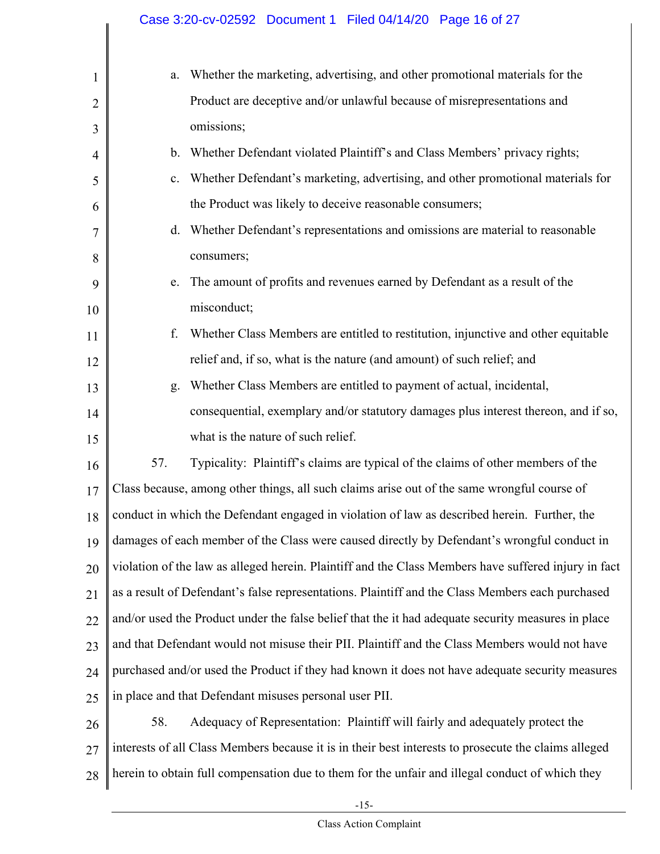| 1              | a.      | Whether the marketing, advertising, and other promotional materials for the                          |
|----------------|---------|------------------------------------------------------------------------------------------------------|
| $\overline{2}$ |         | Product are deceptive and/or unlawful because of misrepresentations and                              |
| 3              |         | omissions;                                                                                           |
| $\overline{4}$ | $b_{-}$ | Whether Defendant violated Plaintiff's and Class Members' privacy rights;                            |
| 5              | c.      | Whether Defendant's marketing, advertising, and other promotional materials for                      |
| 6              |         | the Product was likely to deceive reasonable consumers;                                              |
| 7              | d.      | Whether Defendant's representations and omissions are material to reasonable                         |
| 8              |         | consumers;                                                                                           |
| 9              | e.      | The amount of profits and revenues earned by Defendant as a result of the                            |
| 10             |         | misconduct;                                                                                          |
| 11             | f.      | Whether Class Members are entitled to restitution, injunctive and other equitable                    |
| 12             |         | relief and, if so, what is the nature (and amount) of such relief; and                               |
| 13             | g.      | Whether Class Members are entitled to payment of actual, incidental,                                 |
| 14             |         | consequential, exemplary and/or statutory damages plus interest thereon, and if so,                  |
| 15             |         | what is the nature of such relief.                                                                   |
| 16             | 57.     | Typicality: Plaintiff's claims are typical of the claims of other members of the                     |
| 17             |         | Class because, among other things, all such claims arise out of the same wrongful course of          |
| 18             |         | conduct in which the Defendant engaged in violation of law as described herein. Further, the         |
| 19             |         | damages of each member of the Class were caused directly by Defendant's wrongful conduct in          |
| 20             |         | violation of the law as alleged herein. Plaintiff and the Class Members have suffered injury in fact |
| 21             |         | as a result of Defendant's false representations. Plaintiff and the Class Members each purchased     |
| 22             |         | and/or used the Product under the false belief that the it had adequate security measures in place   |
| 23             |         | and that Defendant would not misuse their PII. Plaintiff and the Class Members would not have        |
| 24             |         | purchased and/or used the Product if they had known it does not have adequate security measures      |
| 25             |         | in place and that Defendant misuses personal user PII.                                               |
| 26             | 58.     | Adequacy of Representation: Plaintiff will fairly and adequately protect the                         |
| 27             |         | interests of all Class Members because it is in their best interests to prosecute the claims alleged |
| 28             |         | herein to obtain full compensation due to them for the unfair and illegal conduct of which they      |
|                |         |                                                                                                      |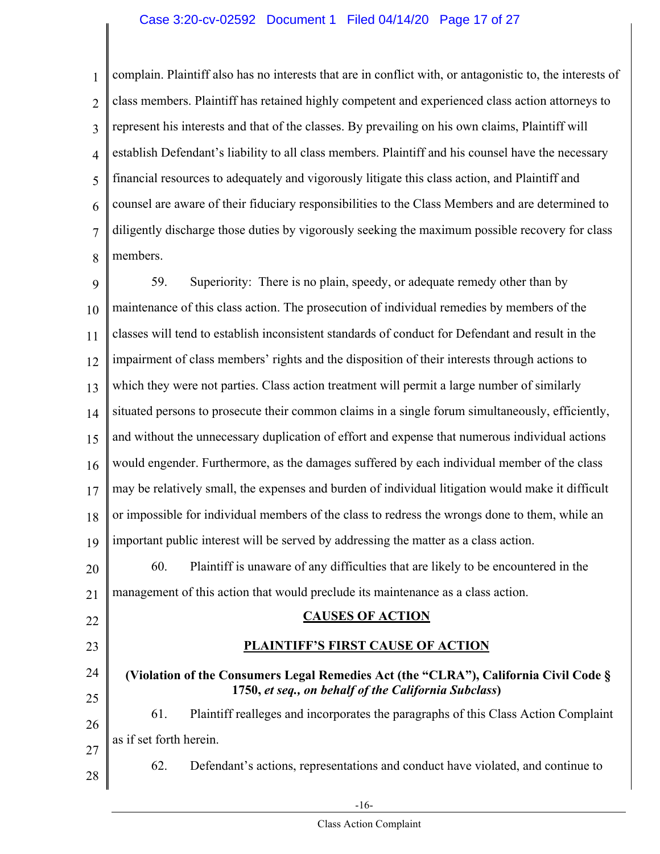#### Case 3:20-cv-02592 Document 1 Filed 04/14/20 Page 17 of 27

1 2 3 4 5 6 7 8 complain. Plaintiff also has no interests that are in conflict with, or antagonistic to, the interests of class members. Plaintiff has retained highly competent and experienced class action attorneys to represent his interests and that of the classes. By prevailing on his own claims, Plaintiff will establish Defendant's liability to all class members. Plaintiff and his counsel have the necessary financial resources to adequately and vigorously litigate this class action, and Plaintiff and counsel are aware of their fiduciary responsibilities to the Class Members and are determined to diligently discharge those duties by vigorously seeking the maximum possible recovery for class members.

9 10 11 12 13 14 15 16 17 18 19 20 21 22 23 24 25 26 27 28 59. Superiority: There is no plain, speedy, or adequate remedy other than by maintenance of this class action. The prosecution of individual remedies by members of the classes will tend to establish inconsistent standards of conduct for Defendant and result in the impairment of class members' rights and the disposition of their interests through actions to which they were not parties. Class action treatment will permit a large number of similarly situated persons to prosecute their common claims in a single forum simultaneously, efficiently, and without the unnecessary duplication of effort and expense that numerous individual actions would engender. Furthermore, as the damages suffered by each individual member of the class may be relatively small, the expenses and burden of individual litigation would make it difficult or impossible for individual members of the class to redress the wrongs done to them, while an important public interest will be served by addressing the matter as a class action. 60. Plaintiff is unaware of any difficulties that are likely to be encountered in the management of this action that would preclude its maintenance as a class action. **CAUSES OF ACTION PLAINTIFF'S FIRST CAUSE OF ACTION (Violation of the Consumers Legal Remedies Act (the "CLRA"), California Civil Code § 1750,** *et seq., on behalf of the California Subclass***)** 61. Plaintiff realleges and incorporates the paragraphs of this Class Action Complaint as if set forth herein. 62. Defendant's actions, representations and conduct have violated, and continue to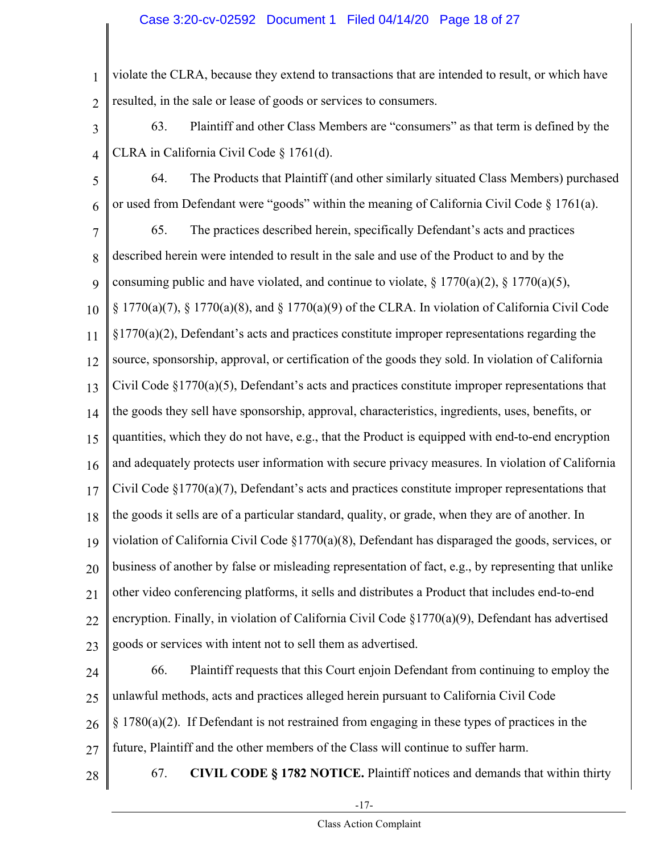#### Case 3:20-cv-02592 Document 1 Filed 04/14/20 Page 18 of 27

1 2 violate the CLRA, because they extend to transactions that are intended to result, or which have resulted, in the sale or lease of goods or services to consumers.

- 3 4 63. Plaintiff and other Class Members are "consumers" as that term is defined by the CLRA in California Civil Code § 1761(d).
- 5 6 64. The Products that Plaintiff (and other similarly situated Class Members) purchased or used from Defendant were "goods" within the meaning of California Civil Code § 1761(a).
- 7 8 9 65. The practices described herein, specifically Defendant's acts and practices described herein were intended to result in the sale and use of the Product to and by the consuming public and have violated, and continue to violate,  $\S 1770(a)(2)$ ,  $\S 1770(a)(5)$ ,
- 10  $\S 1770(a)(7)$ ,  $\S 1770(a)(8)$ , and  $\S 1770(a)(9)$  of the CLRA. In violation of California Civil Code
- 11  $\S1770(a)(2)$ , Defendant's acts and practices constitute improper representations regarding the
- 12 source, sponsorship, approval, or certification of the goods they sold. In violation of California

13 Civil Code  $\S 1770(a)(5)$ , Defendant's acts and practices constitute improper representations that

14 the goods they sell have sponsorship, approval, characteristics, ingredients, uses, benefits, or

15 quantities, which they do not have, e.g., that the Product is equipped with end-to-end encryption

16 and adequately protects user information with secure privacy measures. In violation of California

17 Civil Code  $\S 1770(a)(7)$ , Defendant's acts and practices constitute improper representations that

- 18 the goods it sells are of a particular standard, quality, or grade, when they are of another. In
- 19 violation of California Civil Code §1770(a)(8), Defendant has disparaged the goods, services, or

20 business of another by false or misleading representation of fact, e.g., by representing that unlike

21 other video conferencing platforms, it sells and distributes a Product that includes end-to-end

22 encryption. Finally, in violation of California Civil Code §1770(a)(9), Defendant has advertised

23 goods or services with intent not to sell them as advertised.

24 25 26 27 66. Plaintiff requests that this Court enjoin Defendant from continuing to employ the unlawful methods, acts and practices alleged herein pursuant to California Civil Code  $\S 1780(a)(2)$ . If Defendant is not restrained from engaging in these types of practices in the future, Plaintiff and the other members of the Class will continue to suffer harm.

28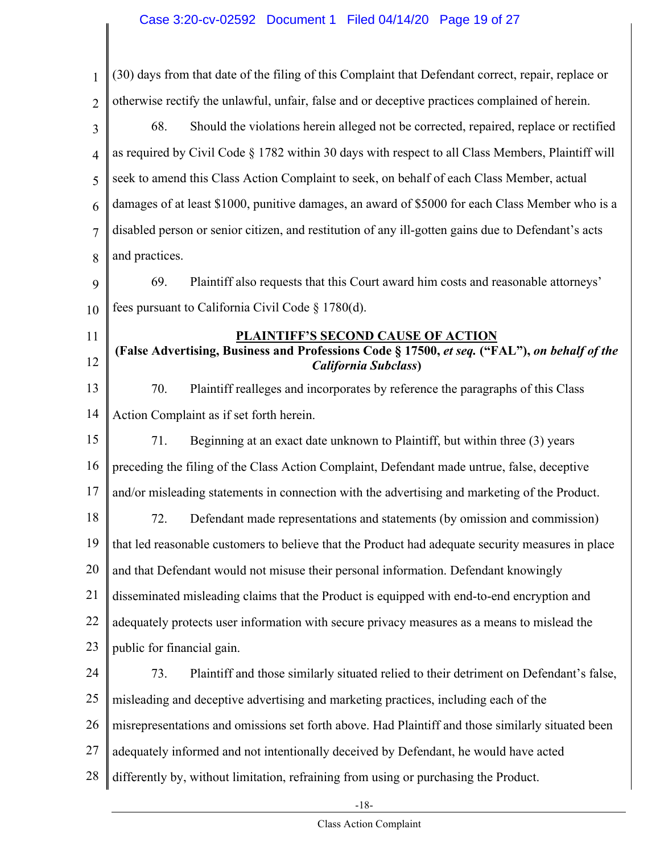# Case 3:20-cv-02592 Document 1 Filed 04/14/20 Page 19 of 27

| $\mathbf{1}$   | (30) days from that date of the filing of this Complaint that Defendant correct, repair, replace or                          |
|----------------|------------------------------------------------------------------------------------------------------------------------------|
| $\overline{2}$ | otherwise rectify the unlawful, unfair, false and or deceptive practices complained of herein.                               |
| 3              | 68.<br>Should the violations herein alleged not be corrected, repaired, replace or rectified                                 |
| $\overline{4}$ | as required by Civil Code § 1782 within 30 days with respect to all Class Members, Plaintiff will                            |
| 5              | seek to amend this Class Action Complaint to seek, on behalf of each Class Member, actual                                    |
| 6              | damages of at least \$1000, punitive damages, an award of \$5000 for each Class Member who is a                              |
| $\overline{7}$ | disabled person or senior citizen, and restitution of any ill-gotten gains due to Defendant's acts                           |
| 8              | and practices.                                                                                                               |
| 9              | 69.<br>Plaintiff also requests that this Court award him costs and reasonable attorneys'                                     |
| 10             | fees pursuant to California Civil Code § 1780(d).                                                                            |
| 11             | PLAINTIFF'S SECOND CAUSE OF ACTION                                                                                           |
| 12             | (False Advertising, Business and Professions Code § 17500, et seq. ("FAL"), on behalf of the<br><b>California Subclass</b> ) |
| 13             | 70.<br>Plaintiff realleges and incorporates by reference the paragraphs of this Class                                        |
| 14             | Action Complaint as if set forth herein.                                                                                     |
| 15             | Beginning at an exact date unknown to Plaintiff, but within three (3) years<br>71.                                           |
| 16             | preceding the filing of the Class Action Complaint, Defendant made untrue, false, deceptive                                  |
| 17             | and/or misleading statements in connection with the advertising and marketing of the Product.                                |
| 18             | 72.<br>Defendant made representations and statements (by omission and commission)                                            |
| 19             | that led reasonable customers to believe that the Product had adequate security measures in place                            |
| 20             | and that Defendant would not misuse their personal information. Defendant knowingly                                          |
| 21             | disseminated misleading claims that the Product is equipped with end-to-end encryption and                                   |
| 22             | adequately protects user information with secure privacy measures as a means to mislead the                                  |
| 23             | public for financial gain.                                                                                                   |
| 24             | 73.<br>Plaintiff and those similarly situated relied to their detriment on Defendant's false,                                |
| 25             | misleading and deceptive advertising and marketing practices, including each of the                                          |
| 26             | misrepresentations and omissions set forth above. Had Plaintiff and those similarly situated been                            |
| 27             | adequately informed and not intentionally deceived by Defendant, he would have acted                                         |
| 28             | differently by, without limitation, refraining from using or purchasing the Product.                                         |
|                |                                                                                                                              |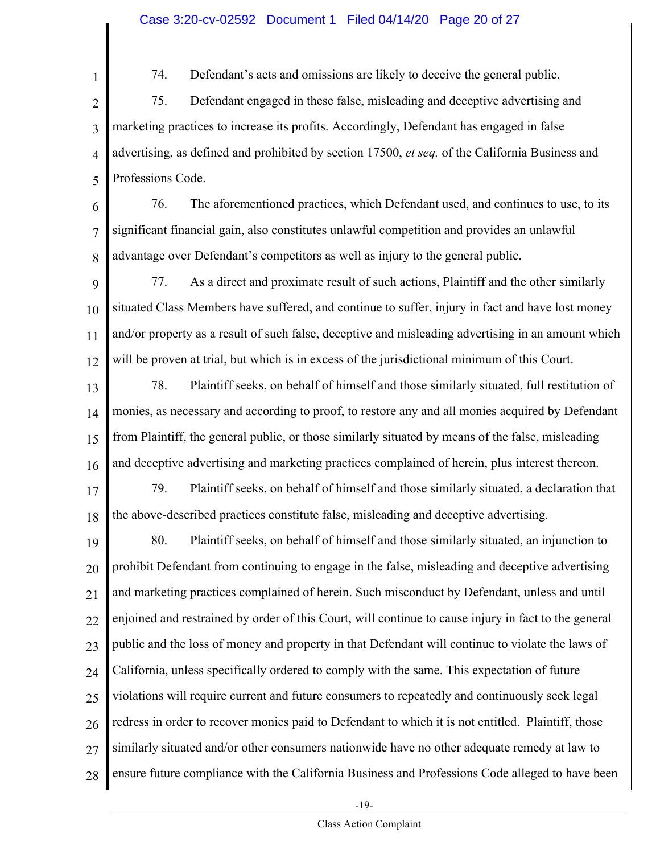#### Case 3:20-cv-02592 Document 1 Filed 04/14/20 Page 20 of 27

1

74. Defendant's acts and omissions are likely to deceive the general public.

2 3 4 5 75. Defendant engaged in these false, misleading and deceptive advertising and marketing practices to increase its profits. Accordingly, Defendant has engaged in false advertising, as defined and prohibited by section 17500, *et seq.* of the California Business and Professions Code.

6 7 8 76. The aforementioned practices, which Defendant used, and continues to use, to its significant financial gain, also constitutes unlawful competition and provides an unlawful advantage over Defendant's competitors as well as injury to the general public.

9 10 11 12 77. As a direct and proximate result of such actions, Plaintiff and the other similarly situated Class Members have suffered, and continue to suffer, injury in fact and have lost money and/or property as a result of such false, deceptive and misleading advertising in an amount which will be proven at trial, but which is in excess of the jurisdictional minimum of this Court.

13 14 15 16 78. Plaintiff seeks, on behalf of himself and those similarly situated, full restitution of monies, as necessary and according to proof, to restore any and all monies acquired by Defendant from Plaintiff, the general public, or those similarly situated by means of the false, misleading and deceptive advertising and marketing practices complained of herein, plus interest thereon.

17 18 79. Plaintiff seeks, on behalf of himself and those similarly situated, a declaration that the above-described practices constitute false, misleading and deceptive advertising.

19 20 21 22 23 24 25 26 27 28 80. Plaintiff seeks, on behalf of himself and those similarly situated, an injunction to prohibit Defendant from continuing to engage in the false, misleading and deceptive advertising and marketing practices complained of herein. Such misconduct by Defendant, unless and until enjoined and restrained by order of this Court, will continue to cause injury in fact to the general public and the loss of money and property in that Defendant will continue to violate the laws of California, unless specifically ordered to comply with the same. This expectation of future violations will require current and future consumers to repeatedly and continuously seek legal redress in order to recover monies paid to Defendant to which it is not entitled. Plaintiff, those similarly situated and/or other consumers nationwide have no other adequate remedy at law to ensure future compliance with the California Business and Professions Code alleged to have been

-19-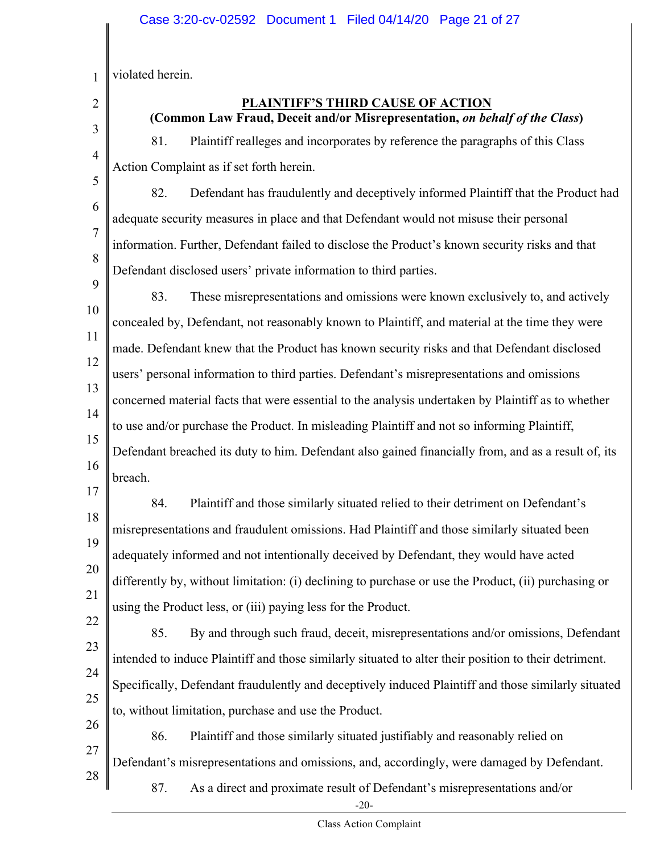1 violated herein.

2 3

4

5

#### **PLAINTIFF'S THIRD CAUSE OF ACTION (Common Law Fraud, Deceit and/or Misrepresentation,** *on behalf of the Class***)**

81. Plaintiff realleges and incorporates by reference the paragraphs of this Class Action Complaint as if set forth herein.

6

7

8

82. Defendant has fraudulently and deceptively informed Plaintiff that the Product had adequate security measures in place and that Defendant would not misuse their personal information. Further, Defendant failed to disclose the Product's known security risks and that Defendant disclosed users' private information to third parties.

9

10 11 12 13 14 15 16 83. These misrepresentations and omissions were known exclusively to, and actively concealed by, Defendant, not reasonably known to Plaintiff, and material at the time they were made. Defendant knew that the Product has known security risks and that Defendant disclosed users' personal information to third parties. Defendant's misrepresentations and omissions concerned material facts that were essential to the analysis undertaken by Plaintiff as to whether to use and/or purchase the Product. In misleading Plaintiff and not so informing Plaintiff, Defendant breached its duty to him. Defendant also gained financially from, and as a result of, its breach.

17

18 19 20 21 84. Plaintiff and those similarly situated relied to their detriment on Defendant's misrepresentations and fraudulent omissions. Had Plaintiff and those similarly situated been adequately informed and not intentionally deceived by Defendant, they would have acted differently by, without limitation: (i) declining to purchase or use the Product, (ii) purchasing or using the Product less, or (iii) paying less for the Product.

22 23 24 25 85. By and through such fraud, deceit, misrepresentations and/or omissions, Defendant intended to induce Plaintiff and those similarly situated to alter their position to their detriment. Specifically, Defendant fraudulently and deceptively induced Plaintiff and those similarly situated to, without limitation, purchase and use the Product.

26 27 28 86. Plaintiff and those similarly situated justifiably and reasonably relied on Defendant's misrepresentations and omissions, and, accordingly, were damaged by Defendant.

87. As a direct and proximate result of Defendant's misrepresentations and/or

-20-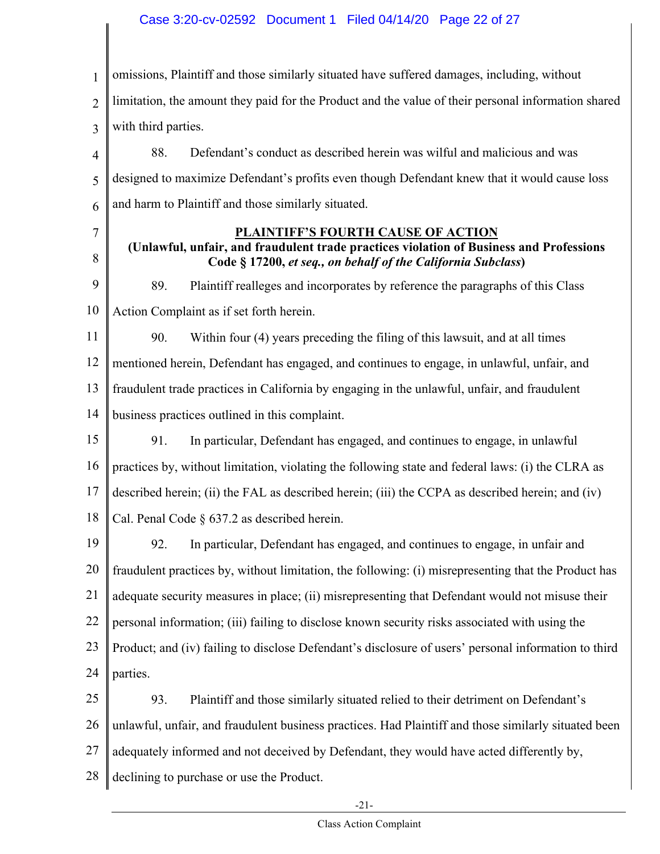#### Case 3:20-cv-02592 Document 1 Filed 04/14/20 Page 22 of 27

1 2 3 omissions, Plaintiff and those similarly situated have suffered damages, including, without limitation, the amount they paid for the Product and the value of their personal information shared with third parties.

4 5 6 88. Defendant's conduct as described herein was wilful and malicious and was designed to maximize Defendant's profits even though Defendant knew that it would cause loss and harm to Plaintiff and those similarly situated.

7

8

#### **PLAINTIFF'S FOURTH CAUSE OF ACTION**

**(Unlawful, unfair, and fraudulent trade practices violation of Business and Professions Code § 17200,** *et seq., on behalf of the California Subclass***)**

9 10 89. Plaintiff realleges and incorporates by reference the paragraphs of this Class Action Complaint as if set forth herein.

11 12 13 14 90. Within four (4) years preceding the filing of this lawsuit, and at all times mentioned herein, Defendant has engaged, and continues to engage, in unlawful, unfair, and fraudulent trade practices in California by engaging in the unlawful, unfair, and fraudulent business practices outlined in this complaint.

15 16 17 18 91. In particular, Defendant has engaged, and continues to engage, in unlawful practices by, without limitation, violating the following state and federal laws: (i) the CLRA as described herein; (ii) the FAL as described herein; (iii) the CCPA as described herein; and (iv) Cal. Penal Code § 637.2 as described herein.

19 20 21 22 23 24 92. In particular, Defendant has engaged, and continues to engage, in unfair and fraudulent practices by, without limitation, the following: (i) misrepresenting that the Product has adequate security measures in place; (ii) misrepresenting that Defendant would not misuse their personal information; (iii) failing to disclose known security risks associated with using the Product; and (iv) failing to disclose Defendant's disclosure of users' personal information to third parties.

25 26 27 28 93. Plaintiff and those similarly situated relied to their detriment on Defendant's unlawful, unfair, and fraudulent business practices. Had Plaintiff and those similarly situated been adequately informed and not deceived by Defendant, they would have acted differently by, declining to purchase or use the Product.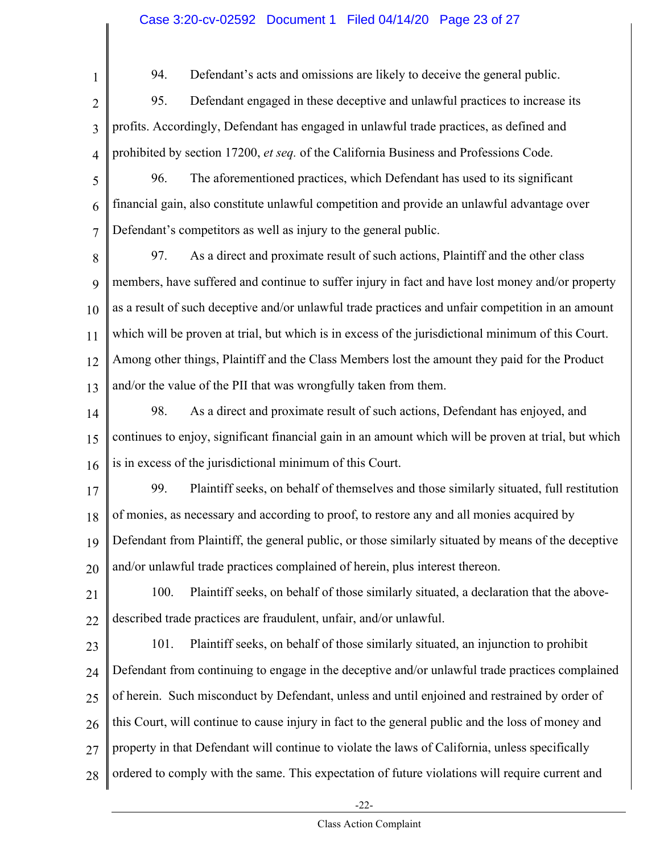#### Case 3:20-cv-02592 Document 1 Filed 04/14/20 Page 23 of 27

94. Defendant's acts and omissions are likely to deceive the general public.

- 2 3 4 95. Defendant engaged in these deceptive and unlawful practices to increase its profits. Accordingly, Defendant has engaged in unlawful trade practices, as defined and prohibited by section 17200, *et seq.* of the California Business and Professions Code.
- 5 6 7 96. The aforementioned practices, which Defendant has used to its significant financial gain, also constitute unlawful competition and provide an unlawful advantage over Defendant's competitors as well as injury to the general public.
- 8 9 10 11 12 13 97. As a direct and proximate result of such actions, Plaintiff and the other class members, have suffered and continue to suffer injury in fact and have lost money and/or property as a result of such deceptive and/or unlawful trade practices and unfair competition in an amount which will be proven at trial, but which is in excess of the jurisdictional minimum of this Court. Among other things, Plaintiff and the Class Members lost the amount they paid for the Product and/or the value of the PII that was wrongfully taken from them.
- 14 15 16 98. As a direct and proximate result of such actions, Defendant has enjoyed, and continues to enjoy, significant financial gain in an amount which will be proven at trial, but which is in excess of the jurisdictional minimum of this Court.
- 17 18 19 99. Plaintiff seeks, on behalf of themselves and those similarly situated, full restitution of monies, as necessary and according to proof, to restore any and all monies acquired by Defendant from Plaintiff, the general public, or those similarly situated by means of the deceptive
- 20 and/or unlawful trade practices complained of herein, plus interest thereon.
- 21 22 100. Plaintiff seeks, on behalf of those similarly situated, a declaration that the abovedescribed trade practices are fraudulent, unfair, and/or unlawful.
- 23

24

25

26

27

28

1

101. Plaintiff seeks, on behalf of those similarly situated, an injunction to prohibit Defendant from continuing to engage in the deceptive and/or unlawful trade practices complained of herein. Such misconduct by Defendant, unless and until enjoined and restrained by order of this Court, will continue to cause injury in fact to the general public and the loss of money and property in that Defendant will continue to violate the laws of California, unless specifically ordered to comply with the same. This expectation of future violations will require current and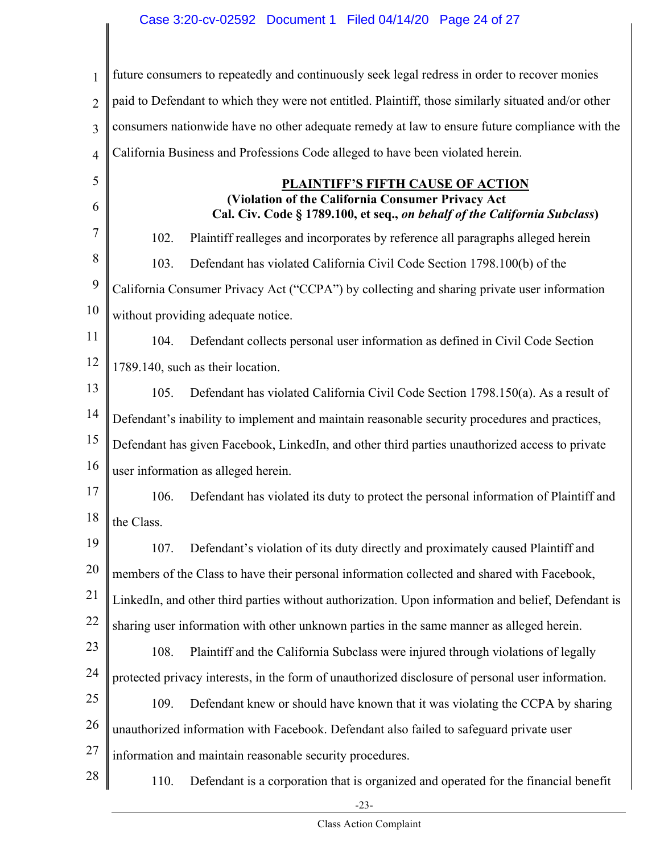1 2 3 4 5 6 7 8 9 10 11 12 13 14 15 16 17 18 19 20 21 22 23 24 25 26 27 28 future consumers to repeatedly and continuously seek legal redress in order to recover monies paid to Defendant to which they were not entitled. Plaintiff, those similarly situated and/or other consumers nationwide have no other adequate remedy at law to ensure future compliance with the California Business and Professions Code alleged to have been violated herein. **PLAINTIFF'S FIFTH CAUSE OF ACTION (Violation of the California Consumer Privacy Act Cal. Civ. Code § 1789.100, et seq.,** *on behalf of the California Subclass***)** 102. Plaintiff realleges and incorporates by reference all paragraphs alleged herein 103. Defendant has violated California Civil Code Section 1798.100(b) of the California Consumer Privacy Act ("CCPA") by collecting and sharing private user information without providing adequate notice. 104. Defendant collects personal user information as defined in Civil Code Section 1789.140, such as their location. 105. Defendant has violated California Civil Code Section 1798.150(a). As a result of Defendant's inability to implement and maintain reasonable security procedures and practices, Defendant has given Facebook, LinkedIn, and other third parties unauthorized access to private user information as alleged herein. 106. Defendant has violated its duty to protect the personal information of Plaintiff and the Class. 107. Defendant's violation of its duty directly and proximately caused Plaintiff and members of the Class to have their personal information collected and shared with Facebook, LinkedIn, and other third parties without authorization. Upon information and belief, Defendant is sharing user information with other unknown parties in the same manner as alleged herein. 108. Plaintiff and the California Subclass were injured through violations of legally protected privacy interests, in the form of unauthorized disclosure of personal user information. 109. Defendant knew or should have known that it was violating the CCPA by sharing unauthorized information with Facebook. Defendant also failed to safeguard private user information and maintain reasonable security procedures. 110. Defendant is a corporation that is organized and operated for the financial benefit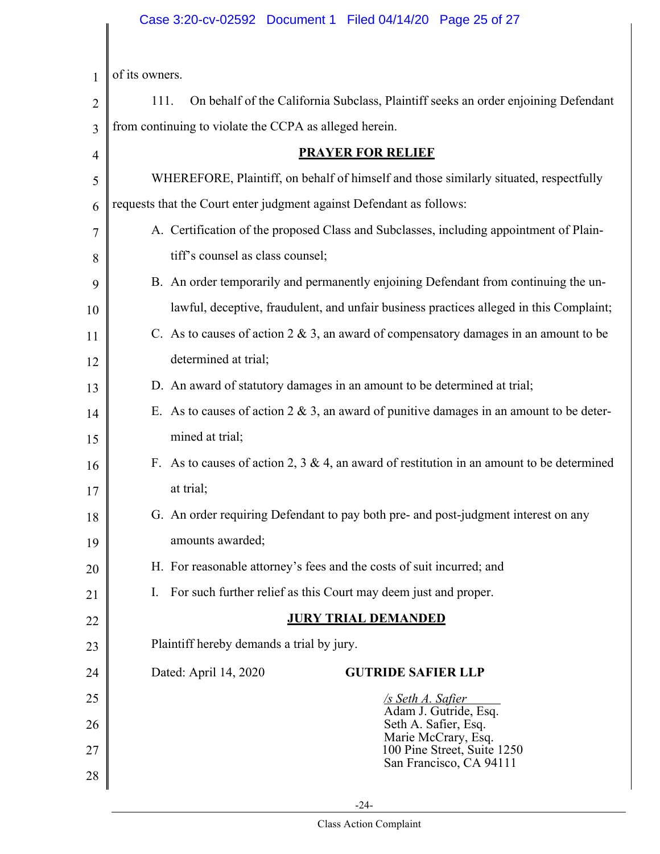# Case 3:20-cv-02592 Document 1 Filed 04/14/20 Page 25 of 27

 $\mathsf{l}$ 

| $\mathbf{1}$   | of its owners.                                                                              |  |  |  |  |  |  |  |
|----------------|---------------------------------------------------------------------------------------------|--|--|--|--|--|--|--|
| $\overline{2}$ | On behalf of the California Subclass, Plaintiff seeks an order enjoining Defendant<br>111.  |  |  |  |  |  |  |  |
| $\overline{3}$ | from continuing to violate the CCPA as alleged herein.                                      |  |  |  |  |  |  |  |
| $\overline{4}$ | <b>PRAYER FOR RELIEF</b>                                                                    |  |  |  |  |  |  |  |
| 5              | WHEREFORE, Plaintiff, on behalf of himself and those similarly situated, respectfully       |  |  |  |  |  |  |  |
| 6              | requests that the Court enter judgment against Defendant as follows:                        |  |  |  |  |  |  |  |
| 7              | A. Certification of the proposed Class and Subclasses, including appointment of Plain-      |  |  |  |  |  |  |  |
| 8              | tiff's counsel as class counsel;                                                            |  |  |  |  |  |  |  |
| 9              | B. An order temporarily and permanently enjoining Defendant from continuing the un-         |  |  |  |  |  |  |  |
| 10             | lawful, deceptive, fraudulent, and unfair business practices alleged in this Complaint;     |  |  |  |  |  |  |  |
| 11             | C. As to causes of action $2 \& 3$ , an award of compensatory damages in an amount to be    |  |  |  |  |  |  |  |
| 12             | determined at trial;                                                                        |  |  |  |  |  |  |  |
| 13             | D. An award of statutory damages in an amount to be determined at trial;                    |  |  |  |  |  |  |  |
| 14             | E. As to causes of action $2 \& 3$ , an award of punitive damages in an amount to be deter- |  |  |  |  |  |  |  |
| 15             | mined at trial;                                                                             |  |  |  |  |  |  |  |
| 16             | F. As to causes of action 2, 3 & 4, an award of restitution in an amount to be determined   |  |  |  |  |  |  |  |
| 17             | at trial;                                                                                   |  |  |  |  |  |  |  |
| 18             | G. An order requiring Defendant to pay both pre- and post-judgment interest on any          |  |  |  |  |  |  |  |
| 19             | amounts awarded;                                                                            |  |  |  |  |  |  |  |
| 20             | H. For reasonable attorney's fees and the costs of suit incurred; and                       |  |  |  |  |  |  |  |
| 21             | For such further relief as this Court may deem just and proper.<br>$\mathbf{I}$ .           |  |  |  |  |  |  |  |
| 22             | <b>JURY TRIAL DEMANDED</b>                                                                  |  |  |  |  |  |  |  |
| 23             | Plaintiff hereby demands a trial by jury.                                                   |  |  |  |  |  |  |  |
| 24             | Dated: April 14, 2020<br><b>GUTRIDE SAFIER LLP</b>                                          |  |  |  |  |  |  |  |
| 25             | <u>/s Seth A. Safier</u><br>Adam J. Gutride, Esq.                                           |  |  |  |  |  |  |  |
| 26             | Seth A. Safier, Esq.<br>Marie McCrary, Esq.                                                 |  |  |  |  |  |  |  |
| 27             | 100 Pine Street, Suite 1250<br>San Francisco, CA 94111                                      |  |  |  |  |  |  |  |
| 28             |                                                                                             |  |  |  |  |  |  |  |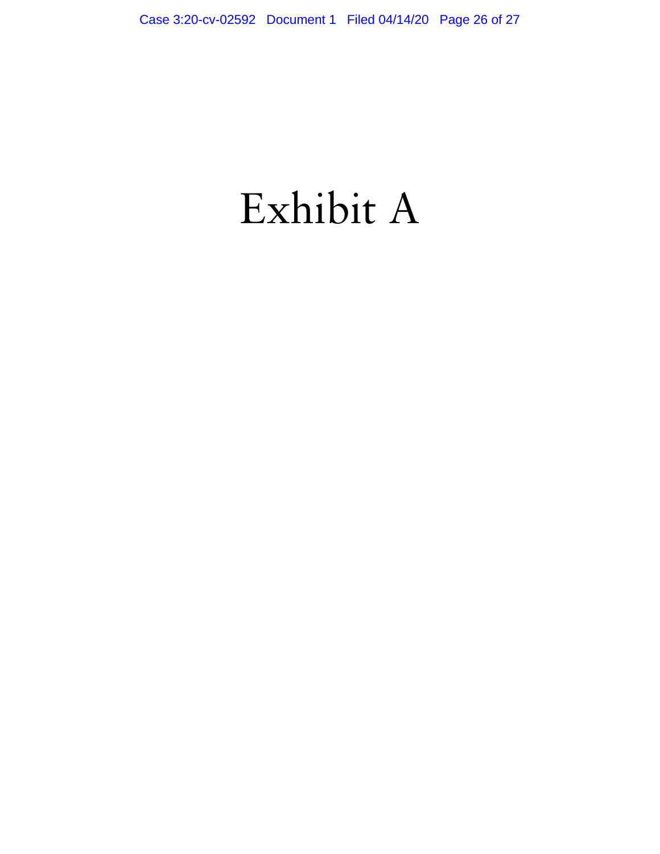# Exhibit A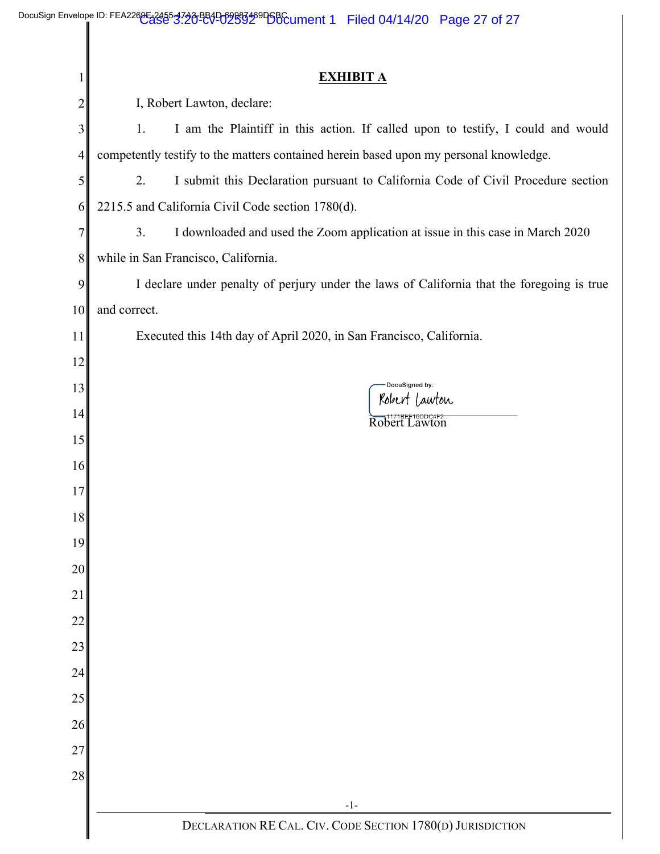|    | DocuSign Envelope ID: FEA226 <del>0E 2455 3720 B81</del> 009983469D6BCument 1 Filed 04/14/20 Page 27 of 27 |  |  |  |  |  |  |  |
|----|------------------------------------------------------------------------------------------------------------|--|--|--|--|--|--|--|
|    | <b>EXHIBIT A</b>                                                                                           |  |  |  |  |  |  |  |
| 2  | I, Robert Lawton, declare:                                                                                 |  |  |  |  |  |  |  |
| 3  | I am the Plaintiff in this action. If called upon to testify, I could and would<br>1.                      |  |  |  |  |  |  |  |
| 4  | competently testify to the matters contained herein based upon my personal knowledge.                      |  |  |  |  |  |  |  |
| 5  | I submit this Declaration pursuant to California Code of Civil Procedure section<br>2.                     |  |  |  |  |  |  |  |
| 6  | 2215.5 and California Civil Code section 1780(d).                                                          |  |  |  |  |  |  |  |
| 7  | I downloaded and used the Zoom application at issue in this case in March 2020<br>3 <sub>1</sub>           |  |  |  |  |  |  |  |
| 8  | while in San Francisco, California.                                                                        |  |  |  |  |  |  |  |
| 9  | I declare under penalty of perjury under the laws of California that the foregoing is true                 |  |  |  |  |  |  |  |
| 10 | and correct.                                                                                               |  |  |  |  |  |  |  |
| 11 | Executed this 14th day of April 2020, in San Francisco, California.                                        |  |  |  |  |  |  |  |
| 12 |                                                                                                            |  |  |  |  |  |  |  |
| 13 | DocuSigned by:                                                                                             |  |  |  |  |  |  |  |
| 14 | Robert Lawton<br>Robert Lawton                                                                             |  |  |  |  |  |  |  |
| 15 |                                                                                                            |  |  |  |  |  |  |  |
| 16 |                                                                                                            |  |  |  |  |  |  |  |
| 17 |                                                                                                            |  |  |  |  |  |  |  |
| 18 |                                                                                                            |  |  |  |  |  |  |  |
| 19 |                                                                                                            |  |  |  |  |  |  |  |
| 20 |                                                                                                            |  |  |  |  |  |  |  |
| 21 |                                                                                                            |  |  |  |  |  |  |  |
| 22 |                                                                                                            |  |  |  |  |  |  |  |
| 23 |                                                                                                            |  |  |  |  |  |  |  |
| 24 |                                                                                                            |  |  |  |  |  |  |  |
| 25 |                                                                                                            |  |  |  |  |  |  |  |
| 26 |                                                                                                            |  |  |  |  |  |  |  |
| 27 |                                                                                                            |  |  |  |  |  |  |  |
| 28 |                                                                                                            |  |  |  |  |  |  |  |
|    | $-1-$                                                                                                      |  |  |  |  |  |  |  |
|    | DECLARATION RE CAL. CIV. CODE SECTION 1780(D) JURISDICTION                                                 |  |  |  |  |  |  |  |